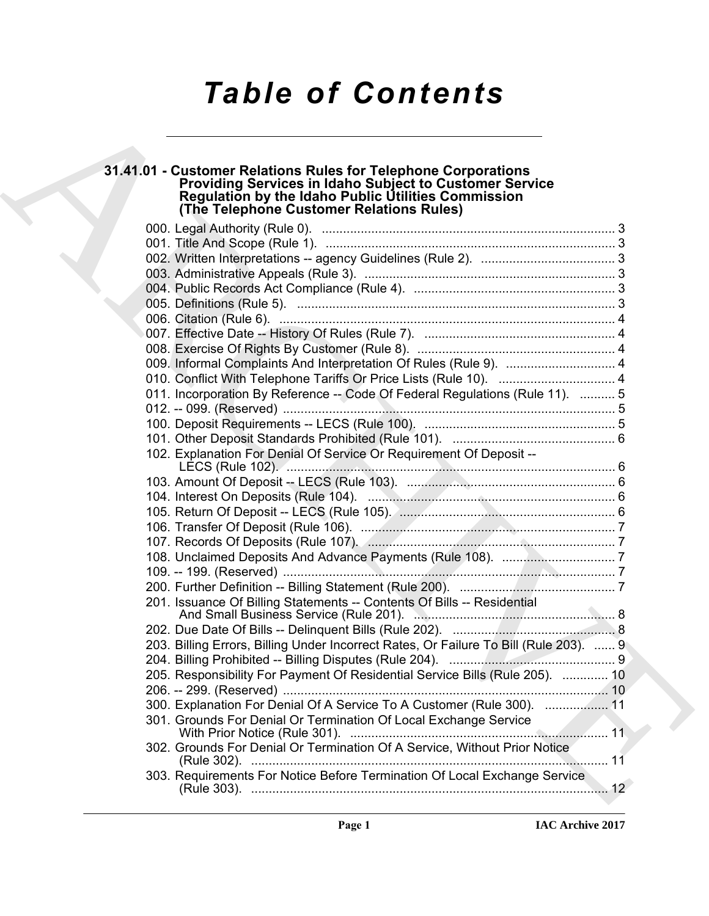# *Table of Contents*

# **31.41.01 - Customer Relations Rules for Telephone Corporations Providing Services in Idaho Subject to Customer Service Regulation by the Idaho Public Utilities Commission (The Telephone Customer Relations Rules)**

| 31.41.01 - Customer Relations Rules for Telephone Corporations<br>Providing Services in Idaho Subject to Customer Service<br>Regulation by the Idaho Public Utilities Commission |  |
|----------------------------------------------------------------------------------------------------------------------------------------------------------------------------------|--|
| (The Telephone Customer Relations Rules)                                                                                                                                         |  |
|                                                                                                                                                                                  |  |
|                                                                                                                                                                                  |  |
|                                                                                                                                                                                  |  |
|                                                                                                                                                                                  |  |
|                                                                                                                                                                                  |  |
|                                                                                                                                                                                  |  |
|                                                                                                                                                                                  |  |
|                                                                                                                                                                                  |  |
|                                                                                                                                                                                  |  |
| 010. Conflict With Telephone Tariffs Or Price Lists (Rule 10).  4                                                                                                                |  |
| 011. Incorporation By Reference -- Code Of Federal Regulations (Rule 11).  5                                                                                                     |  |
|                                                                                                                                                                                  |  |
|                                                                                                                                                                                  |  |
|                                                                                                                                                                                  |  |
| 102. Explanation For Denial Of Service Or Requirement Of Deposit --                                                                                                              |  |
|                                                                                                                                                                                  |  |
|                                                                                                                                                                                  |  |
|                                                                                                                                                                                  |  |
|                                                                                                                                                                                  |  |
|                                                                                                                                                                                  |  |
|                                                                                                                                                                                  |  |
|                                                                                                                                                                                  |  |
|                                                                                                                                                                                  |  |
| 201. Issuance Of Billing Statements -- Contents Of Bills -- Residential                                                                                                          |  |
|                                                                                                                                                                                  |  |
| 203. Billing Errors, Billing Under Incorrect Rates, Or Failure To Bill (Rule 203).  9                                                                                            |  |
|                                                                                                                                                                                  |  |
| 205. Responsibility For Payment Of Residential Service Bills (Rule 205).  10                                                                                                     |  |
|                                                                                                                                                                                  |  |
| 300. Explanation For Denial Of A Service To A Customer (Rule 300).  11                                                                                                           |  |
| 301. Grounds For Denial Or Termination Of Local Exchange Service                                                                                                                 |  |
| 302. Grounds For Denial Or Termination Of A Service, Without Prior Notice                                                                                                        |  |
| 303. Requirements For Notice Before Termination Of Local Exchange Service                                                                                                        |  |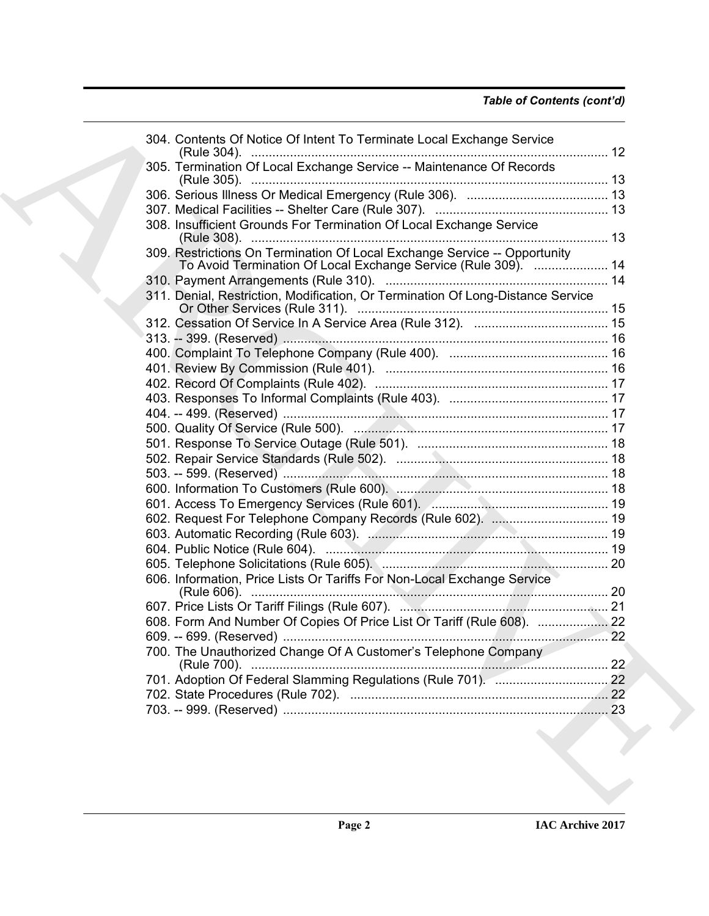|                                                                                 | 304. Contents Of Notice Of Intent To Terminate Local Exchange Service |
|---------------------------------------------------------------------------------|-----------------------------------------------------------------------|
| 305. Termination Of Local Exchange Service -- Maintenance Of Records            |                                                                       |
|                                                                                 |                                                                       |
|                                                                                 |                                                                       |
| 308. Insufficient Grounds For Termination Of Local Exchange Service             |                                                                       |
| 309. Restrictions On Termination Of Local Exchange Service -- Opportunity       | To Avoid Termination Of Local Exchange Service (Rule 309).  14        |
|                                                                                 |                                                                       |
| 311. Denial, Restriction, Modification, Or Termination Of Long-Distance Service |                                                                       |
|                                                                                 |                                                                       |
|                                                                                 |                                                                       |
|                                                                                 |                                                                       |
|                                                                                 |                                                                       |
|                                                                                 |                                                                       |
|                                                                                 |                                                                       |
|                                                                                 |                                                                       |
|                                                                                 |                                                                       |
|                                                                                 |                                                                       |
|                                                                                 |                                                                       |
|                                                                                 |                                                                       |
|                                                                                 |                                                                       |
|                                                                                 |                                                                       |
|                                                                                 | 602. Request For Telephone Company Records (Rule 602).  19            |
|                                                                                 |                                                                       |
|                                                                                 |                                                                       |
|                                                                                 |                                                                       |
| 606. Information, Price Lists Or Tariffs For Non-Local Exchange Service         |                                                                       |
|                                                                                 |                                                                       |
| 608. Form And Number Of Copies Of Price List Or Tariff (Rule 608).              | 22                                                                    |
|                                                                                 |                                                                       |
| 700. The Unauthorized Change Of A Customer's Telephone Company                  |                                                                       |
|                                                                                 |                                                                       |
|                                                                                 |                                                                       |
|                                                                                 |                                                                       |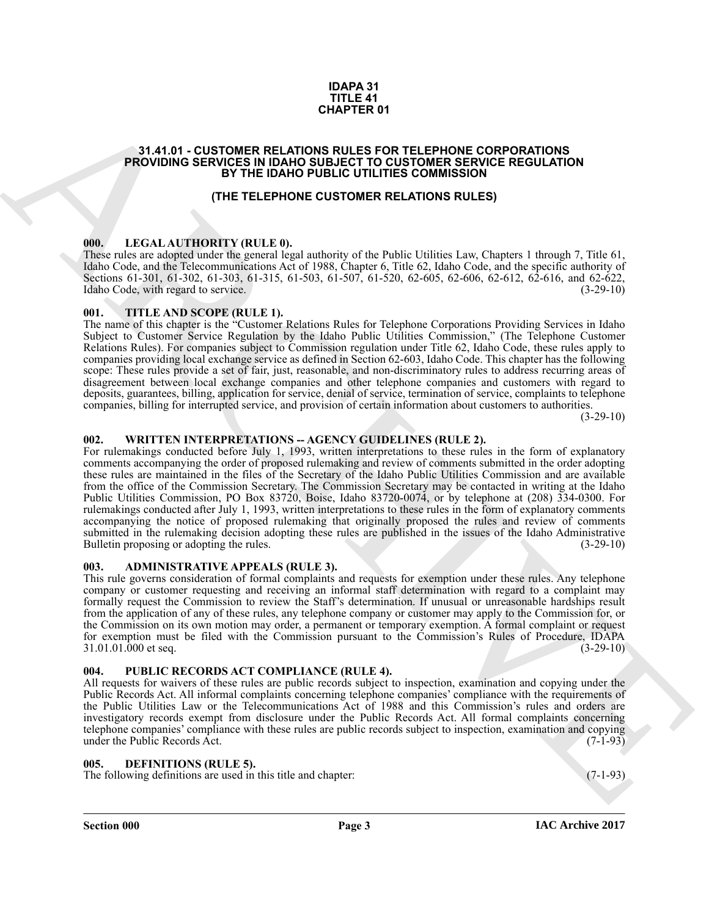#### **IDAPA 31 TITLE 41 CHAPTER 01**

#### <span id="page-2-0"></span>**31.41.01 - CUSTOMER RELATIONS RULES FOR TELEPHONE CORPORATIONS PROVIDING SERVICES IN IDAHO SUBJECT TO CUSTOMER SERVICE REGULATION BY THE IDAHO PUBLIC UTILITIES COMMISSION**

#### **(THE TELEPHONE CUSTOMER RELATIONS RULES)**

#### <span id="page-2-1"></span>**000. LEGAL AUTHORITY (RULE 0).**

These rules are adopted under the general legal authority of the Public Utilities Law, Chapters 1 through 7, Title 61, Idaho Code, and the Telecommunications Act of 1988, Chapter 6, Title 62, Idaho Code, and the specific authority of Sections 61-301, 61-302, 61-303, 61-315, 61-503, 61-507, 61-520, 62-605, 62-606, 62-612, 62-616, and 62-622, Idaho Code, with regard to service. Idaho Code, with regard to service.

#### <span id="page-2-2"></span>**001. TITLE AND SCOPE (RULE 1).**

The name of this chapter is the "Customer Relations Rules for Telephone Corporations Providing Services in Idaho Subject to Customer Service Regulation by the Idaho Public Utilities Commission," (The Telephone Customer Relations Rules). For companies subject to Commission regulation under Title 62, Idaho Code, these rules apply to companies providing local exchange service as defined in Section 62-603, Idaho Code. This chapter has the following scope: These rules provide a set of fair, just, reasonable, and non-discriminatory rules to address recurring areas of disagreement between local exchange companies and other telephone companies and customers with regard to deposits, guarantees, billing, application for service, denial of service, termination of service, complaints to telephone companies, billing for interrupted service, and provision of certain information about customers to authorities.

 $(3-29-10)$ 

# <span id="page-2-3"></span>**002. WRITTEN INTERPRETATIONS -- AGENCY GUIDELINES (RULE 2).**

**34.41.91** - **CUSTORER RELATIONS** CHAPTER OF THE PHYSICS CORPORATIONS<br> **PROVIDING SERVICES RELATIONS CULTIS CONTINUES ARCHIVES CONTINUES AND ARCHIVES CONTINUES (THE CULTIS CONTINUES)**<br> **THE RELEATIONS CULTIS CONTINUES ARE** For rulemakings conducted before July 1, 1993, written interpretations to these rules in the form of explanatory comments accompanying the order of proposed rulemaking and review of comments submitted in the order adopting these rules are maintained in the files of the Secretary of the Idaho Public Utilities Commission and are available from the office of the Commission Secretary. The Commission Secretary may be contacted in writing at the Idaho Public Utilities Commission, PO Box 83720, Boise, Idaho 83720-0074, or by telephone at (208) 334-0300. For rulemakings conducted after July 1, 1993, written interpretations to these rules in the form of explanatory comments accompanying the notice of proposed rulemaking that originally proposed the rules and review of comments submitted in the rulemaking decision adopting these rules are published in the issues of the Idaho Administrative Bulletin proposing or adopting the rules. (3-29-10)

#### <span id="page-2-4"></span>**003. ADMINISTRATIVE APPEALS (RULE 3).**

This rule governs consideration of formal complaints and requests for exemption under these rules. Any telephone company or customer requesting and receiving an informal staff determination with regard to a complaint may formally request the Commission to review the Staff's determination. If unusual or unreasonable hardships result from the application of any of these rules, any telephone company or customer may apply to the Commission for, or the Commission on its own motion may order, a permanent or temporary exemption. A formal complaint or request for exemption must be filed with the Commission pursuant to the Commission's Rules of Procedure, IDAPA 31.01.01.000 et seq. (3-29-10) 31.01.01.000 et seq.

#### <span id="page-2-5"></span>**004. PUBLIC RECORDS ACT COMPLIANCE (RULE 4).**

All requests for waivers of these rules are public records subject to inspection, examination and copying under the Public Records Act. All informal complaints concerning telephone companies' compliance with the requirements of the Public Utilities Law or the Telecommunications Act of 1988 and this Commission's rules and orders are investigatory records exempt from disclosure under the Public Records Act. All formal complaints concerning telephone companies' compliance with these rules are public records subject to inspection, examination and copying under the Public Records Act. (7-1-93) under the Public Records Act.

#### <span id="page-2-7"></span><span id="page-2-6"></span>**005. DEFINITIONS (RULE 5).**

The following definitions are used in this title and chapter: (7-1-93)

**Section 000 Page 3**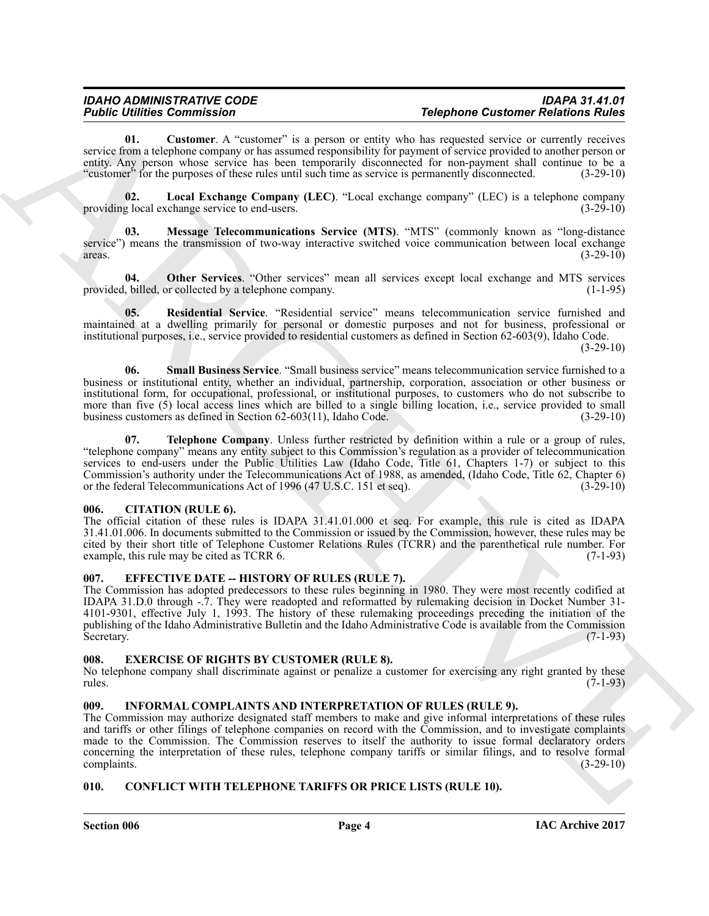# *IDAHO ADMINISTRATIVE CODE IDAPA 31.41.01 Public Utilities Commission Telephone Customer Relations Rules*

<span id="page-3-7"></span>**01.** Customer. A "customer" is a person or entity who has requested service or currently receives service from a telephone company or has assumed responsibility for payment of service provided to another person or entity. Any person whose service has been temporarily disconnected for non-payment shall continue to be a "customer" for the purposes of these rules until such time as service is permanently disconnected. (3-29-10)

<span id="page-3-8"></span>**02. Local Exchange Company (LEC)**. "Local exchange company" (LEC) is a telephone company providing local exchange service to end-users.

<span id="page-3-9"></span>**03. Message Telecommunications Service (MTS)**. "MTS" (commonly known as "long-distance service") means the transmission of two-way interactive switched voice communication between local exchange areas. (3-29-10)  $\frac{1}{3}$  areas. (3-29-10)

<span id="page-3-10"></span>**04.** Other Services. "Other services" mean all services except local exchange and MTS services by a telephone company. provided, billed, or collected by a telephone company.

<span id="page-3-11"></span>**05. Residential Service**. "Residential service" means telecommunication service furnished and maintained at a dwelling primarily for personal or domestic purposes and not for business, professional or institutional purposes, i.e., service provided to residential customers as defined in Section 62-603(9), Idaho Code.

 $(3-29-10)$ 

<span id="page-3-13"></span><span id="page-3-12"></span>**06. Small Business Service**. "Small business service" means telecommunication service furnished to a business or institutional entity, whether an individual, partnership, corporation, association or other business or institutional form, for occupational, professional, or institutional purposes, to customers who do not subscribe to more than five (5) local access lines which are billed to a single billing location, i.e., service provided to small business customers as defined in Section 62-603(11), Idaho Code. (3-29-10)

**Folding Different Commutes of the Commute Control of the Commute Control of the Commute Commute Commute Commute Commute Commute Commute Commute Commute Commute Commute Commute Commute Commute Commute Commute Commute Comm 07. Telephone Company**. Unless further restricted by definition within a rule or a group of rules, "telephone company" means any entity subject to this Commission's regulation as a provider of telecommunication services to end-users under the Public Utilities Law (Idaho Code, Title 61, Chapters 1-7) or subject to this Commission's authority under the Telecommunications Act of 1988, as amended, (Idaho Code, Title 62, Chapter 6) or the federal Telecommunications Act of 1996 (47 U.S.C. 151 et seq). (3-29-10) or the federal Telecommunications Act of 1996 (47 U.S.C. 151 et seq).

#### <span id="page-3-5"></span><span id="page-3-0"></span>**006. CITATION (RULE 6).**

The official citation of these rules is IDAPA 31.41.01.000 et seq. For example, this rule is cited as IDAPA 31.41.01.006. In documents submitted to the Commission or issued by the Commission, however, these rules may be cited by their short title of Telephone Customer Relations Rules (TCRR) and the parenthetical rule number. For example, this rule may be cited as TCRR 6. (7-1-93)

### <span id="page-3-14"></span><span id="page-3-1"></span>**007. EFFECTIVE DATE -- HISTORY OF RULES (RULE 7).**

The Commission has adopted predecessors to these rules beginning in 1980. They were most recently codified at IDAPA 31.D.0 through -.7. They were readopted and reformatted by rulemaking decision in Docket Number 31- 4101-9301, effective July 1, 1993. The history of these rulemaking proceedings preceding the initiation of the publishing of the Idaho Administrative Bulletin and the Idaho Administrative Code is available from the Commission<br>(7-1-93) Secretary. (7-1-93)

### <span id="page-3-15"></span><span id="page-3-2"></span>**008. EXERCISE OF RIGHTS BY CUSTOMER (RULE 8).**

No telephone company shall discriminate against or penalize a customer for exercising any right granted by these rules. (7-1-93) rules. (7-1-93)

# <span id="page-3-16"></span><span id="page-3-3"></span>**009. INFORMAL COMPLAINTS AND INTERPRETATION OF RULES (RULE 9).**

The Commission may authorize designated staff members to make and give informal interpretations of these rules and tariffs or other filings of telephone companies on record with the Commission, and to investigate complaints made to the Commission. The Commission reserves to itself the authority to issue formal declaratory orders concerning the interpretation of these rules, telephone company tariffs or similar filings, and to resolve formal complaints. (3-29-10) complaints. (3-29-10)

### <span id="page-3-6"></span><span id="page-3-4"></span>**010. CONFLICT WITH TELEPHONE TARIFFS OR PRICE LISTS (RULE 10).**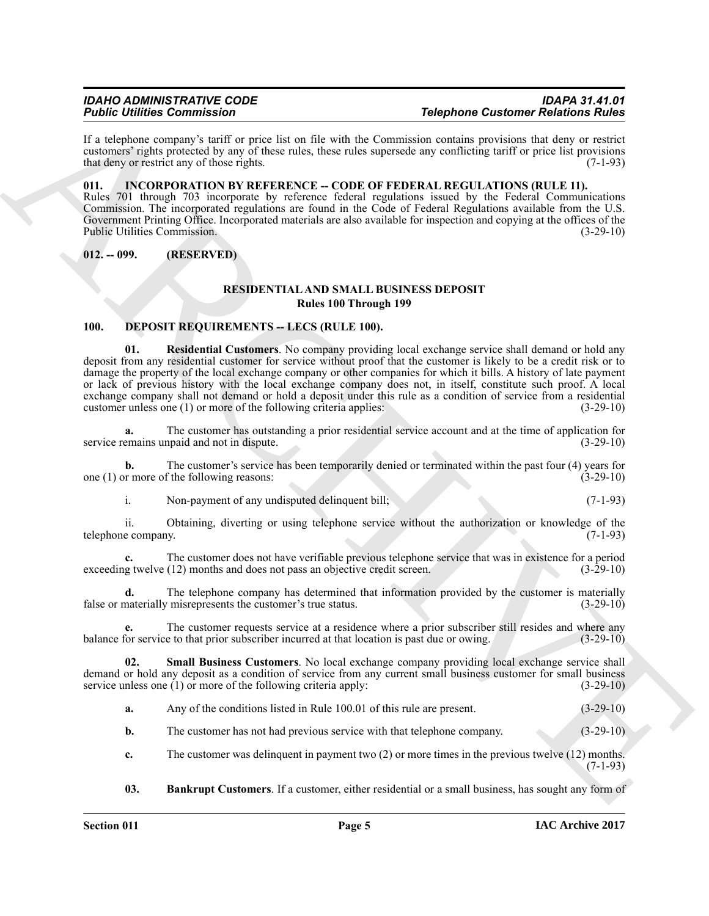If a telephone company's tariff or price list on file with the Commission contains provisions that deny or restrict customers' rights protected by any of these rules, these rules supersede any conflicting tariff or price list provisions that deny or restrict any of those rights. (7-1-93) that deny or restrict any of those rights.

<span id="page-4-7"></span><span id="page-4-0"></span>**011. INCORPORATION BY REFERENCE -- CODE OF FEDERAL REGULATIONS (RULE 11).** Rules 701 through 703 incorporate by reference federal regulations issued by the Federal Communications Commission. The incorporated regulations are found in the Code of Federal Regulations available from the U.S. Government Printing Office. Incorporated materials are also available for inspection and copying at the offices of the Public Utilities Commission. (3-29-10)

<span id="page-4-1"></span>**012. -- 099. (RESERVED)**

### <span id="page-4-8"></span><span id="page-4-5"></span>**RESIDENTIAL AND SMALL BUSINESS DEPOSIT Rules 100 Through 199**

### <span id="page-4-3"></span><span id="page-4-2"></span>100. **DEPOSIT REQUIREMENTS -- LECS (RULE 100).**

For the interaction of the state of the state of the state of the state of the state of the state of the state of the state of the state of the state of the state of the state of the state of the state of the state of the **01. Residential Customers**. No company providing local exchange service shall demand or hold any deposit from any residential customer for service without proof that the customer is likely to be a credit risk or to damage the property of the local exchange company or other companies for which it bills. A history of late payment or lack of previous history with the local exchange company does not, in itself, constitute such proof. A local exchange company shall not demand or hold a deposit under this rule as a condition of service from a residential customer unless one (1) or more of the following criteria applies: (3-29-10) customer unless one  $(1)$  or more of the following criteria applies:

**a.** The customer has outstanding a prior residential service account and at the time of application for emains unpaid and not in dispute. service remains unpaid and not in dispute.

**b.** The customer's service has been temporarily denied or terminated within the past four (4) years for or more of the following reasons:  $(3-29-10)$ one  $(1)$  or more of the following reasons:

i. Non-payment of any undisputed delinquent bill; (7-1-93)

ii. Obtaining, diverting or using telephone service without the authorization or knowledge of the e company. (7-1-93) telephone company.

**c.** The customer does not have verifiable previous telephone service that was in existence for a period exceeding twelve (12) months and does not pass an objective credit screen. (3-29-10)

**d.** The telephone company has determined that information provided by the customer is materially misrepresents the customer's true status.  $(3-29-10)$ false or materially misrepresents the customer's true status.

The customer requests service at a residence where a prior subscriber still resides and where any e to that prior subscriber incurred at that location is past due or owing.  $(3-29-10)$ balance for service to that prior subscriber incurred at that location is past due or owing.

**02. Small Business Customers**. No local exchange company providing local exchange service shall demand or hold any deposit as a condition of service from any current small business customer for small business service unless one (1) or more of the following criteria apply: (3-29-10) service unless one  $(1)$  or more of the following criteria apply:

<span id="page-4-6"></span>**a.** Any of the conditions listed in Rule 100.01 of this rule are present. (3-29-10)

**b.** The customer has not had previous service with that telephone company. (3-29-10)

**c.** The customer was delinquent in payment two (2) or more times in the previous twelve (12) months. (7-1-93)

<span id="page-4-4"></span>**03. Bankrupt Customers**. If a customer, either residential or a small business, has sought any form of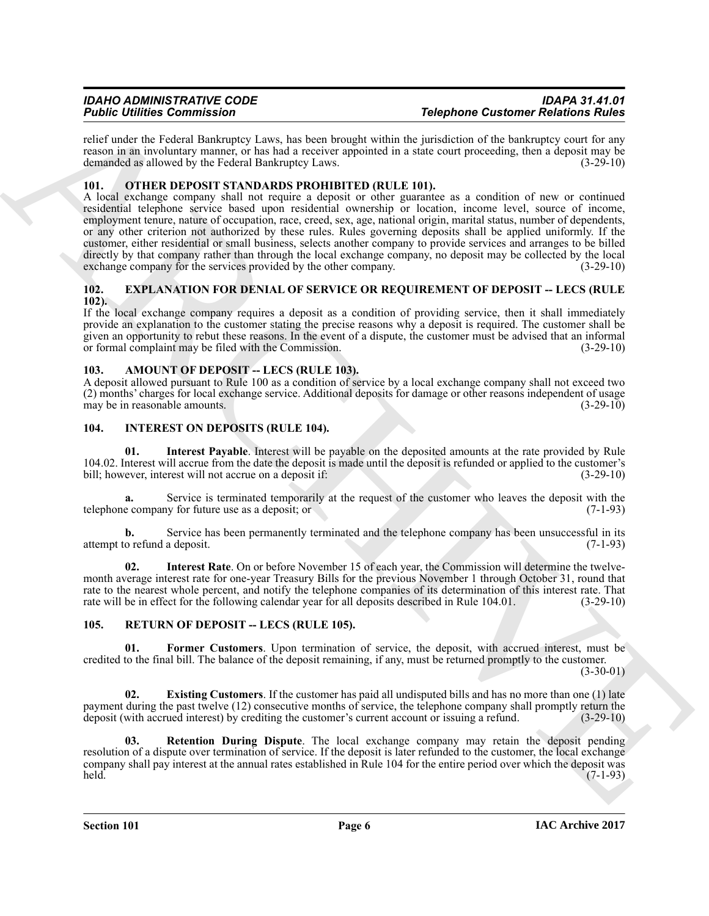relief under the Federal Bankruptcy Laws, has been brought within the jurisdiction of the bankruptcy court for any reason in an involuntary manner, or has had a receiver appointed in a state court proceeding, then a deposit may be demanded as allowed by the Federal Bankruptcy Laws. demanded as allowed by the Federal Bankruptcy Laws.

### <span id="page-5-10"></span><span id="page-5-0"></span>**101. OTHER DEPOSIT STANDARDS PROHIBITED (RULE 101).**

For Contribution Commute also 10 the state of the state of the state of the state of the state of the state of the state of the state of the state of the state of the state of the state of the state of the state of the st A local exchange company shall not require a deposit or other guarantee as a condition of new or continued residential telephone service based upon residential ownership or location, income level, source of income, employment tenure, nature of occupation, race, creed, sex, age, national origin, marital status, number of dependents, or any other criterion not authorized by these rules. Rules governing deposits shall be applied uniformly. If the customer, either residential or small business, selects another company to provide services and arranges to be billed directly by that company rather than through the local exchange company, no deposit may be collected by the local exchange company for the services provided by the other company. (3-29-10) exchange company for the services provided by the other company.

#### <span id="page-5-6"></span><span id="page-5-1"></span>**102. EXPLANATION FOR DENIAL OF SERVICE OR REQUIREMENT OF DEPOSIT -- LECS (RULE 102).**

If the local exchange company requires a deposit as a condition of providing service, then it shall immediately provide an explanation to the customer stating the precise reasons why a deposit is required. The customer shall be given an opportunity to rebut these reasons. In the event of a dispute, the customer must be advised that an informal or formal complaint may be filed with the Commission. (3-29-10)

### <span id="page-5-5"></span><span id="page-5-2"></span>103. AMOUNT OF DEPOSIT -- LECS (RULE 103).

A deposit allowed pursuant to Rule 100 as a condition of service by a local exchange company shall not exceed two (2) months' charges for local exchange service. Additional deposits for damage or other reasons independent of usage may be in reasonable amounts.

#### <span id="page-5-8"></span><span id="page-5-7"></span><span id="page-5-3"></span>**104. INTEREST ON DEPOSITS (RULE 104).**

**01. Interest Payable**. Interest will be payable on the deposited amounts at the rate provided by Rule 104.02. Interest will accrue from the date the deposit is made until the deposit is refunded or applied to the customer's bill; however, interest will not accrue on a deposit if: (3-29-10) bill; however, interest will not accrue on a deposit if:

Service is terminated temporarily at the request of the customer who leaves the deposit with the vy for future use as a deposit; or  $(7-1-93)$ telephone company for future use as a deposit; or

**b.** Service has been permanently terminated and the telephone company has been unsuccessful in its o refund a deposit. (7-1-93) attempt to refund a deposit.

<span id="page-5-9"></span>**02. Interest Rate**. On or before November 15 of each year, the Commission will determine the twelvemonth average interest rate for one-year Treasury Bills for the previous November 1 through October 31, round that rate to the nearest whole percent, and notify the telephone companies of its determination of this interest rate. That rate will be in effect for the following calendar year for all deposits described in Rule 104.01. (3-29 rate will be in effect for the following calendar year for all deposits described in Rule 104.01.

### <span id="page-5-13"></span><span id="page-5-11"></span><span id="page-5-4"></span>105. RETURN OF DEPOSIT -- LECS (RULE 105).

**01. Former Customers**. Upon termination of service, the deposit, with accrued interest, must be credited to the final bill. The balance of the deposit remaining, if any, must be returned promptly to the customer.  $(3-30-01)$ 

<span id="page-5-12"></span>**02. Existing Customers**. If the customer has paid all undisputed bills and has no more than one (1) late payment during the past twelve (12) consecutive months of service, the telephone company shall promptly return the deposit (with accrued interest) by crediting the customer's current account or issuing a refund. (3-29-10) deposit (with accrued interest) by crediting the customer's current account or issuing a refund.

<span id="page-5-14"></span>**03. Retention During Dispute**. The local exchange company may retain the deposit pending resolution of a dispute over termination of service. If the deposit is later refunded to the customer, the local exchange company shall pay interest at the annual rates established in Rule 104 for the entire period over which the deposit was held. held. (7-1-93)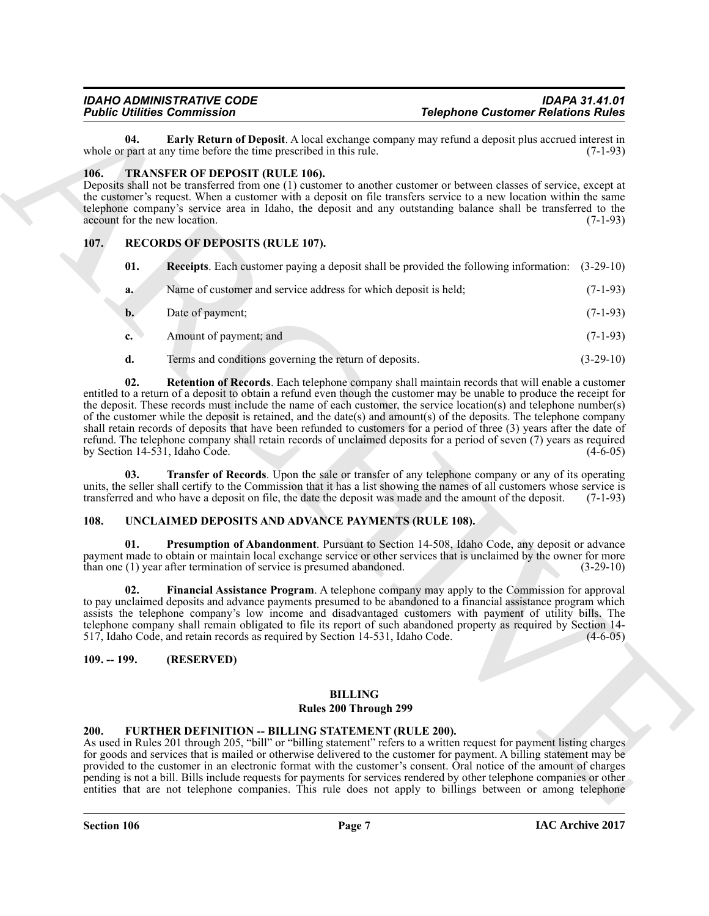#### <span id="page-6-11"></span><span id="page-6-10"></span><span id="page-6-0"></span>**106. TRANSFER OF DEPOSIT (RULE 106).**

# <span id="page-6-8"></span><span id="page-6-7"></span><span id="page-6-6"></span><span id="page-6-1"></span>**107. RECORDS OF DEPOSITS (RULE 107).**

|                                       | <b>Public Utilities Commission</b><br><b>Telephone Customer Relations Rules</b>                                                                                                                                                                                                                                                                                                                                                                                                                                                                                                                                                                                                                                                                             |             |
|---------------------------------------|-------------------------------------------------------------------------------------------------------------------------------------------------------------------------------------------------------------------------------------------------------------------------------------------------------------------------------------------------------------------------------------------------------------------------------------------------------------------------------------------------------------------------------------------------------------------------------------------------------------------------------------------------------------------------------------------------------------------------------------------------------------|-------------|
| 04.                                   | Early Return of Deposit. A local exchange company may refund a deposit plus accrued interest in<br>whole or part at any time before the time prescribed in this rule.                                                                                                                                                                                                                                                                                                                                                                                                                                                                                                                                                                                       | $(7-1-93)$  |
| 106.<br>account for the new location. | <b>TRANSFER OF DEPOSIT (RULE 106).</b><br>Deposits shall not be transferred from one (1) customer to another customer or between classes of service, except at<br>the customer's request. When a customer with a deposit on file transfers service to a new location within the same<br>telephone company's service area in Idaho, the deposit and any outstanding balance shall be transferred to the                                                                                                                                                                                                                                                                                                                                                      | $(7-1-93)$  |
| 107.                                  | <b>RECORDS OF DEPOSITS (RULE 107).</b>                                                                                                                                                                                                                                                                                                                                                                                                                                                                                                                                                                                                                                                                                                                      |             |
| 01.                                   | <b>Receipts.</b> Each customer paying a deposit shall be provided the following information: (3-29-10)                                                                                                                                                                                                                                                                                                                                                                                                                                                                                                                                                                                                                                                      |             |
| a.                                    | Name of customer and service address for which deposit is held;                                                                                                                                                                                                                                                                                                                                                                                                                                                                                                                                                                                                                                                                                             | $(7-1-93)$  |
| b.                                    | Date of payment;                                                                                                                                                                                                                                                                                                                                                                                                                                                                                                                                                                                                                                                                                                                                            | $(7-1-93)$  |
| c.                                    | Amount of payment; and                                                                                                                                                                                                                                                                                                                                                                                                                                                                                                                                                                                                                                                                                                                                      | $(7-1-93)$  |
| d.                                    | Terms and conditions governing the return of deposits.                                                                                                                                                                                                                                                                                                                                                                                                                                                                                                                                                                                                                                                                                                      | $(3-29-10)$ |
| 02.                                   | Retention of Records. Each telephone company shall maintain records that will enable a customer<br>entitled to a return of a deposit to obtain a refund even though the customer may be unable to produce the receipt for<br>the deposit. These records must include the name of each customer, the service location(s) and telephone number(s)<br>of the customer while the deposit is retained, and the date(s) and amount(s) of the deposits. The telephone company<br>shall retain records of deposits that have been refunded to customers for a period of three (3) years after the date of<br>refund. The telephone company shall retain records of unclaimed deposits for a period of seven (7) years as required<br>by Section 14-531, Idaho Code. | $(4-6-05)$  |
| 03.                                   | <b>Transfer of Records</b> . Upon the sale or transfer of any telephone company or any of its operating<br>units, the seller shall certify to the Commission that it has a list showing the names of all customers whose service is<br>transferred and who have a deposit on file, the date the deposit was made and the amount of the deposit.                                                                                                                                                                                                                                                                                                                                                                                                             | $(7-1-93)$  |
| 108.                                  | UNCLAIMED DEPOSITS AND ADVANCE PAYMENTS (RULE 108).                                                                                                                                                                                                                                                                                                                                                                                                                                                                                                                                                                                                                                                                                                         |             |
| 01.                                   | Presumption of Abandonment. Pursuant to Section 14-508, Idaho Code, any deposit or advance<br>payment made to obtain or maintain local exchange service or other services that is unclaimed by the owner for more<br>than one (1) year after termination of service is presumed abandoned.                                                                                                                                                                                                                                                                                                                                                                                                                                                                  | $(3-29-10)$ |
| 02.                                   | Financial Assistance Program. A telephone company may apply to the Commission for approval<br>to pay unclaimed deposits and advance payments presumed to be abandoned to a financial assistance program which<br>assists the telephone company's low income and disadvantaged customers with payment of utility bills. The<br>telephone company shall remain obligated to file its report of such abandoned property as required by Section 14-<br>517, Idaho Code, and retain records as required by Section 14-531, Idaho Code.                                                                                                                                                                                                                           | $(4-6-05)$  |
| $109. - 199.$                         | (RESERVED)                                                                                                                                                                                                                                                                                                                                                                                                                                                                                                                                                                                                                                                                                                                                                  |             |
|                                       |                                                                                                                                                                                                                                                                                                                                                                                                                                                                                                                                                                                                                                                                                                                                                             |             |
|                                       | <b>BILLING</b><br>Rules 200 Through 299                                                                                                                                                                                                                                                                                                                                                                                                                                                                                                                                                                                                                                                                                                                     |             |
|                                       |                                                                                                                                                                                                                                                                                                                                                                                                                                                                                                                                                                                                                                                                                                                                                             |             |

#### <span id="page-6-14"></span><span id="page-6-13"></span><span id="page-6-12"></span><span id="page-6-9"></span><span id="page-6-2"></span>**108. UNCLAIMED DEPOSITS AND ADVANCE PAYMENTS (RULE 108).**

#### <span id="page-6-3"></span>**109. -- 199. (RESERVED)**

# **BILLING**

#### **Rules 200 Through 299**

#### <span id="page-6-5"></span><span id="page-6-4"></span>**200. FURTHER DEFINITION -- BILLING STATEMENT (RULE 200).**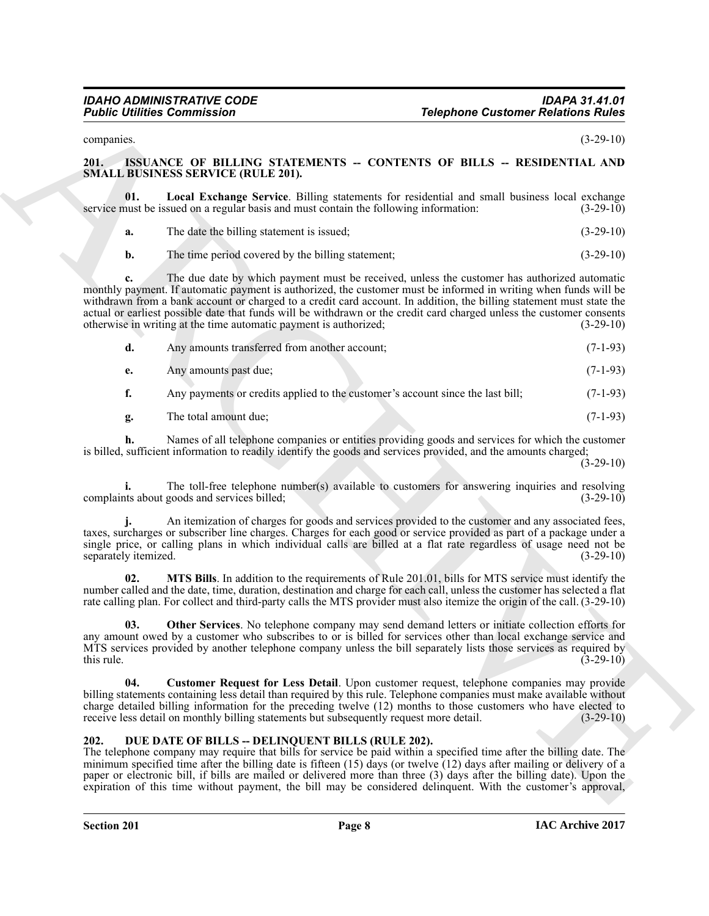#### <span id="page-7-5"></span><span id="page-7-3"></span><span id="page-7-0"></span>**201. ISSUANCE OF BILLING STATEMENTS -- CONTENTS OF BILLS -- RESIDENTIAL AND SMALL BUSINESS SERVICE (RULE 201).**

|                      | <b>Public Utilities Commission</b>                                                                                                                                                                                                                                                                                                                                                                                                                                                                                                     | <b>Telephone Customer Relations Rules</b>                                                                     |             |
|----------------------|----------------------------------------------------------------------------------------------------------------------------------------------------------------------------------------------------------------------------------------------------------------------------------------------------------------------------------------------------------------------------------------------------------------------------------------------------------------------------------------------------------------------------------------|---------------------------------------------------------------------------------------------------------------|-------------|
| companies.           |                                                                                                                                                                                                                                                                                                                                                                                                                                                                                                                                        |                                                                                                               | $(3-29-10)$ |
| 201.                 | ISSUANCE OF BILLING STATEMENTS -- CONTENTS OF BILLS -- RESIDENTIAL AND<br><b>SMALL BUSINESS SERVICE (RULE 201).</b>                                                                                                                                                                                                                                                                                                                                                                                                                    |                                                                                                               |             |
| 01.                  | Local Exchange Service. Billing statements for residential and small business local exchange<br>service must be issued on a regular basis and must contain the following information:                                                                                                                                                                                                                                                                                                                                                  |                                                                                                               | $(3-29-10)$ |
| a.                   | The date the billing statement is issued;                                                                                                                                                                                                                                                                                                                                                                                                                                                                                              |                                                                                                               | $(3-29-10)$ |
| $\mathbf{b}$ .       | The time period covered by the billing statement;                                                                                                                                                                                                                                                                                                                                                                                                                                                                                      |                                                                                                               | $(3-29-10)$ |
| c.                   | The due date by which payment must be received, unless the customer has authorized automatic<br>monthly payment. If automatic payment is authorized, the customer must be informed in writing when funds will be<br>withdrawn from a bank account or charged to a credit card account. In addition, the billing statement must state the<br>actual or earliest possible date that funds will be withdrawn or the credit card charged unless the customer consents<br>otherwise in writing at the time automatic payment is authorized; |                                                                                                               | $(3-29-10)$ |
| d.                   | Any amounts transferred from another account;                                                                                                                                                                                                                                                                                                                                                                                                                                                                                          |                                                                                                               | $(7-1-93)$  |
| e.                   | Any amounts past due;                                                                                                                                                                                                                                                                                                                                                                                                                                                                                                                  |                                                                                                               | $(7-1-93)$  |
| f.                   | Any payments or credits applied to the customer's account since the last bill;                                                                                                                                                                                                                                                                                                                                                                                                                                                         |                                                                                                               | $(7-1-93)$  |
| g.                   | The total amount due;                                                                                                                                                                                                                                                                                                                                                                                                                                                                                                                  |                                                                                                               | $(7-1-93)$  |
| h.                   | Names of all telephone companies or entities providing goods and services for which the customer<br>is billed, sufficient information to readily identify the goods and services provided, and the amounts charged;                                                                                                                                                                                                                                                                                                                    |                                                                                                               | $(3-29-10)$ |
|                      | The toll-free telephone number(s) available to customers for answering inquiries and resolving<br>complaints about goods and services billed;                                                                                                                                                                                                                                                                                                                                                                                          |                                                                                                               | $(3-29-10)$ |
| separately itemized. | An itemization of charges for goods and services provided to the customer and any associated fees,<br>taxes, surcharges or subscriber line charges. Charges for each good or service provided as part of a package under a<br>single price, or calling plans in which individual calls are billed at a flat rate regardless of usage need not be                                                                                                                                                                                       |                                                                                                               | $(3-29-10)$ |
| 02.                  | MTS Bills. In addition to the requirements of Rule 201.01, bills for MTS service must identify the<br>number called and the date, time, duration, destination and charge for each call, unless the customer has selected a flat<br>rate calling plan. For collect and third-party calls the MTS provider must also itemize the origin of the call. (3-29-10)                                                                                                                                                                           |                                                                                                               |             |
| 03.<br>this rule.    | <b>Other Services</b> . No telephone company may send demand letters or initiate collection efforts for<br>any amount owed by a customer who subscribes to or is billed for services other than local exchange service and<br>MTS services provided by another telephone company unless the bill separately lists those services as required by                                                                                                                                                                                        |                                                                                                               | $(3-29-10)$ |
| 04.                  | Customer Request for Less Detail. Upon customer request, telephone companies may provide<br>billing statements containing less detail than required by this rule. Telephone companies must make available without<br>charge detailed billing information for the preceding twelve (12) months to those customers who have elected to<br>receive less detail on monthly billing statements but subsequently request more detail.                                                                                                        |                                                                                                               | $(3-29-10)$ |
| 202.                 | DUE DATE OF BILLS -- DELINQUENT BILLS (RULE 202).<br>The telephone company may require that bills for service be paid within a specified time after the billing date. The<br>minimum specified time after the billing date is fifteen $(15)$ days (or twelve $(12)$ days after mailing or delivery of a<br>paper or electronic bill, if bills are mailed or delivered more than three (3) days after the billing date). Upon the                                                                                                       | expiration of this time without payment, the bill may be considered delinquent. With the customer's approval, |             |

### <span id="page-7-7"></span><span id="page-7-6"></span><span id="page-7-4"></span><span id="page-7-2"></span><span id="page-7-1"></span>**202. DUE DATE OF BILLS -- DELINQUENT BILLS (RULE 202).**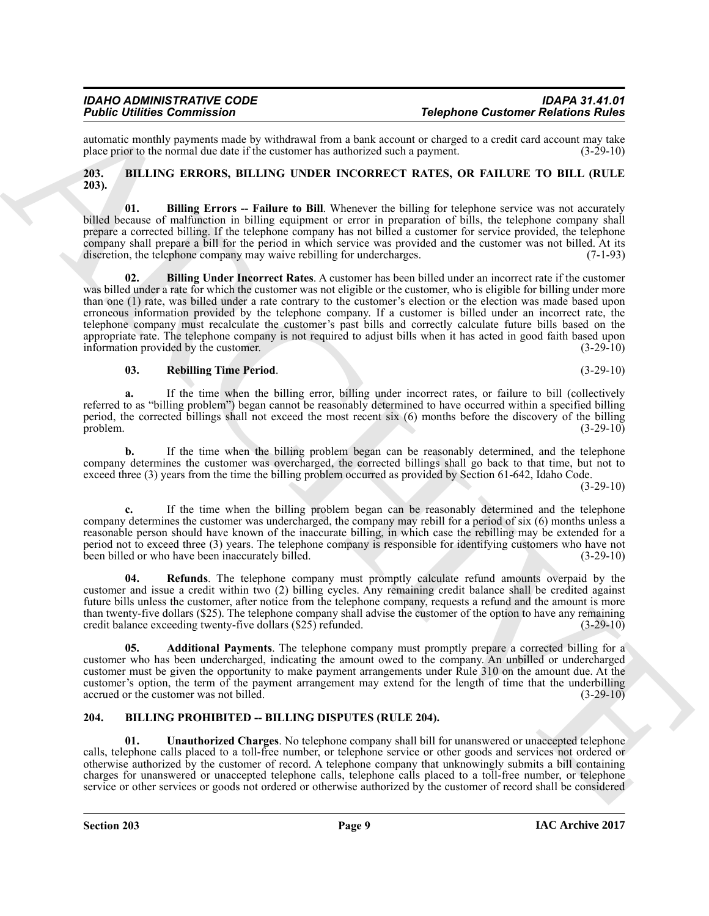automatic monthly payments made by withdrawal from a bank account or charged to a credit card account may take<br>place prior to the normal due date if the customer has authorized such a payment. (3-29-10) place prior to the normal due date if the customer has authorized such a payment.

#### <span id="page-8-2"></span><span id="page-8-0"></span>**203. BILLING ERRORS, BILLING UNDER INCORRECT RATES, OR FAILURE TO BILL (RULE 203).**

<span id="page-8-5"></span><span id="page-8-4"></span>**01. Billing Errors -- Failure to Bill**. Whenever the billing for telephone service was not accurately billed because of malfunction in billing equipment or error in preparation of bills, the telephone company shall prepare a corrected billing. If the telephone company has not billed a customer for service provided, the telephone company shall prepare a bill for the period in which service was provided and the customer was not billed. At its discretion, the telephone company may waive rebilling for undercharges. (7-1-93) discretion, the telephone company may waive rebilling for undercharges.

For contribution Commute and The Hammaton and Southern Commute and Commute and Commute and Commute and Commute and Commute and Commute and Commute and Commute and Commute and Commute and Commute and Commute and Commute an **02. Billing Under Incorrect Rates**. A customer has been billed under an incorrect rate if the customer was billed under a rate for which the customer was not eligible or the customer, who is eligible for billing under more than one (1) rate, was billed under a rate contrary to the customer's election or the election was made based upon erroneous information provided by the telephone company. If a customer is billed under an incorrect rate, the telephone company must recalculate the customer's past bills and correctly calculate future bills based on the appropriate rate. The telephone company is not required to adjust bills when it has acted in good faith based upon information provided by the customer. (3-29-10)

#### <span id="page-8-6"></span>**03. Rebilling Time Period**. (3-29-10)

**a.** If the time when the billing error, billing under incorrect rates, or failure to bill (collectively referred to as "billing problem") began cannot be reasonably determined to have occurred within a specified billing period, the corrected billings shall not exceed the most recent six (6) months before the discovery of the billing problem. (3-29-10) problem.  $(3-29-10)$ 

**b.** If the time when the billing problem began can be reasonably determined, and the telephone company determines the customer was overcharged, the corrected billings shall go back to that time, but not to exceed three (3) years from the time the billing problem occurred as provided by Section 61-642, Idaho Code.

(3-29-10)

**c.** If the time when the billing problem began can be reasonably determined and the telephone company determines the customer was undercharged, the company may rebill for a period of six (6) months unless a reasonable person should have known of the inaccurate billing, in which case the rebilling may be extended for a period not to exceed three (3) years. The telephone company is responsible for identifying customers who have not been billed or who have been inaccurately billed. (3-29-10)

<span id="page-8-7"></span>**04. Refunds**. The telephone company must promptly calculate refund amounts overpaid by the customer and issue a credit within two (2) billing cycles. Any remaining credit balance shall be credited against future bills unless the customer, after notice from the telephone company, requests a refund and the amount is more than twenty-five dollars (\$25). The telephone company shall advise the customer of the option to have any remaining credit balance exceeding twenty-five dollars (\$25) refunded. (3-29-10)

<span id="page-8-3"></span>**05. Additional Payments**. The telephone company must promptly prepare a corrected billing for a customer who has been undercharged, indicating the amount owed to the company. An unbilled or undercharged customer must be given the opportunity to make payment arrangements under Rule 310 on the amount due. At the customer's option, the term of the payment arrangement may extend for the length of time that the underbilling accrued or the customer was not billed. (3-29-10) accrued or the customer was not billed.

### <span id="page-8-8"></span><span id="page-8-1"></span>**204. BILLING PROHIBITED -- BILLING DISPUTES (RULE 204).**

<span id="page-8-9"></span>**01. Unauthorized Charges**. No telephone company shall bill for unanswered or unaccepted telephone calls, telephone calls placed to a toll-free number, or telephone service or other goods and services not ordered or otherwise authorized by the customer of record. A telephone company that unknowingly submits a bill containing charges for unanswered or unaccepted telephone calls, telephone calls placed to a toll-free number, or telephone service or other services or goods not ordered or otherwise authorized by the customer of record shall be considered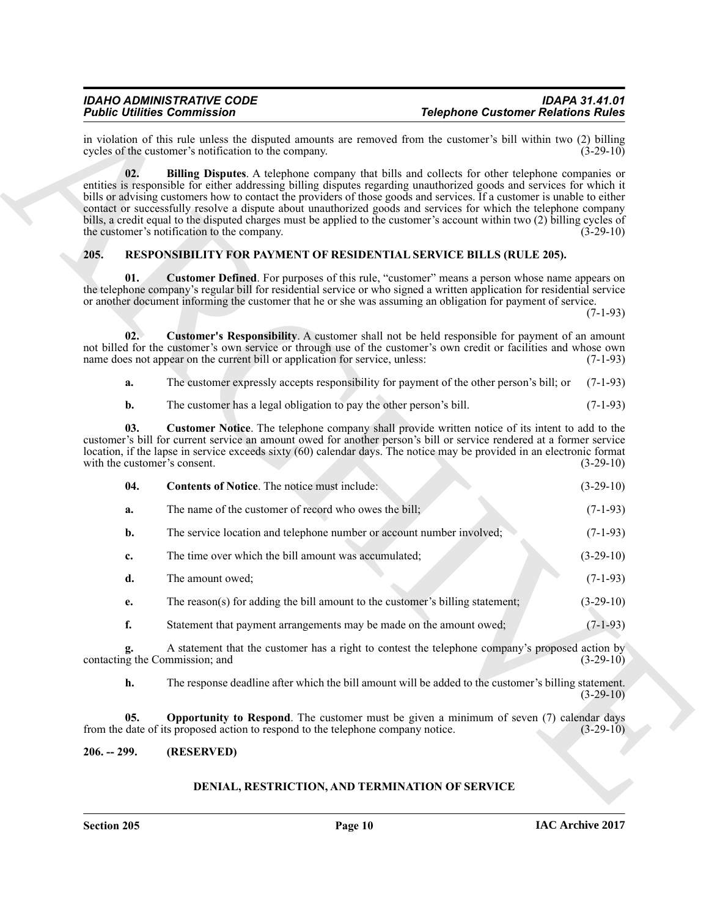#### <span id="page-9-8"></span><span id="page-9-7"></span><span id="page-9-6"></span><span id="page-9-5"></span><span id="page-9-4"></span><span id="page-9-2"></span><span id="page-9-0"></span>**205. RESPONSIBILITY FOR PAYMENT OF RESIDENTIAL SERVICE BILLS (RULE 205).**

|             | <b>Telephone Customer Relations Rules</b>                                                                                                                                                                                                                                                                                                                                                                                                                                                                                                                                                                | <b>Public Utilities Commission</b>                                               |               |
|-------------|----------------------------------------------------------------------------------------------------------------------------------------------------------------------------------------------------------------------------------------------------------------------------------------------------------------------------------------------------------------------------------------------------------------------------------------------------------------------------------------------------------------------------------------------------------------------------------------------------------|----------------------------------------------------------------------------------|---------------|
| $(3-29-10)$ | in violation of this rule unless the disputed amounts are removed from the customer's bill within two (2) billing                                                                                                                                                                                                                                                                                                                                                                                                                                                                                        | cycles of the customer's notification to the company.                            |               |
| $(3-29-10)$ | <b>Billing Disputes.</b> A telephone company that bills and collects for other telephone companies or<br>entities is responsible for either addressing billing disputes regarding unauthorized goods and services for which it<br>bills or advising customers how to contact the providers of those goods and services. If a customer is unable to either<br>contact or successfully resolve a dispute about unauthorized goods and services for which the telephone company<br>bills, a credit equal to the disputed charges must be applied to the customer's account within two (2) billing cycles of | the customer's notification to the company.                                      | 02.           |
|             | <b>RESPONSIBILITY FOR PAYMENT OF RESIDENTIAL SERVICE BILLS (RULE 205).</b>                                                                                                                                                                                                                                                                                                                                                                                                                                                                                                                               |                                                                                  | 205.          |
| $(7-1-93)$  | <b>Customer Defined</b> . For purposes of this rule, "customer" means a person whose name appears on<br>the telephone company's regular bill for residential service or who signed a written application for residential service<br>or another document informing the customer that he or she was assuming an obligation for payment of service.                                                                                                                                                                                                                                                         |                                                                                  | 01.           |
| $(7-1-93)$  | <b>Customer's Responsibility</b> . A customer shall not be held responsible for payment of an amount<br>not billed for the customer's own service or through use of the customer's own credit or facilities and whose own                                                                                                                                                                                                                                                                                                                                                                                | name does not appear on the current bill or application for service, unless:     | 02.           |
| $(7-1-93)$  | The customer expressly accepts responsibility for payment of the other person's bill; or                                                                                                                                                                                                                                                                                                                                                                                                                                                                                                                 |                                                                                  | a.            |
| $(7-1-93)$  |                                                                                                                                                                                                                                                                                                                                                                                                                                                                                                                                                                                                          | The customer has a legal obligation to pay the other person's bill.              | b.            |
| $(3-29-10)$ | Customer Notice. The telephone company shall provide written notice of its intent to add to the<br>customer's bill for current service an amount owed for another person's bill or service rendered at a former service<br>location, if the lapse in service exceeds sixty (60) calendar days. The notice may be provided in an electronic format                                                                                                                                                                                                                                                        | with the customer's consent.                                                     | 03.           |
| $(3-29-10)$ |                                                                                                                                                                                                                                                                                                                                                                                                                                                                                                                                                                                                          | <b>Contents of Notice.</b> The notice must include:                              | 04.           |
| $(7-1-93)$  |                                                                                                                                                                                                                                                                                                                                                                                                                                                                                                                                                                                                          | The name of the customer of record who owes the bill;                            | a.            |
| $(7-1-93)$  |                                                                                                                                                                                                                                                                                                                                                                                                                                                                                                                                                                                                          | The service location and telephone number or account number involved;            | b.            |
| $(3-29-10)$ |                                                                                                                                                                                                                                                                                                                                                                                                                                                                                                                                                                                                          | The time over which the bill amount was accumulated;                             | c.            |
| $(7-1-93)$  |                                                                                                                                                                                                                                                                                                                                                                                                                                                                                                                                                                                                          | The amount owed;                                                                 | d.            |
| $(3-29-10)$ | The reason(s) for adding the bill amount to the customer's billing statement;                                                                                                                                                                                                                                                                                                                                                                                                                                                                                                                            |                                                                                  | e.            |
| $(7-1-93)$  |                                                                                                                                                                                                                                                                                                                                                                                                                                                                                                                                                                                                          | Statement that payment arrangements may be made on the amount owed;              | f.            |
| $(3-29-10)$ | A statement that the customer has a right to contest the telephone company's proposed action by                                                                                                                                                                                                                                                                                                                                                                                                                                                                                                          | contacting the Commission; and                                                   | g.            |
| $(3-29-10)$ | The response deadline after which the bill amount will be added to the customer's billing statement.                                                                                                                                                                                                                                                                                                                                                                                                                                                                                                     |                                                                                  | h.            |
| $(3-29-10)$ | <b>Opportunity to Respond.</b> The customer must be given a minimum of seven (7) calendar days                                                                                                                                                                                                                                                                                                                                                                                                                                                                                                           | from the date of its proposed action to respond to the telephone company notice. | 05.           |
|             |                                                                                                                                                                                                                                                                                                                                                                                                                                                                                                                                                                                                          |                                                                                  | $206. - 299.$ |

#### <span id="page-9-1"></span>**206. -- 299. (RESERVED)**

### <span id="page-9-9"></span><span id="page-9-3"></span>**DENIAL, RESTRICTION, AND TERMINATION OF SERVICE**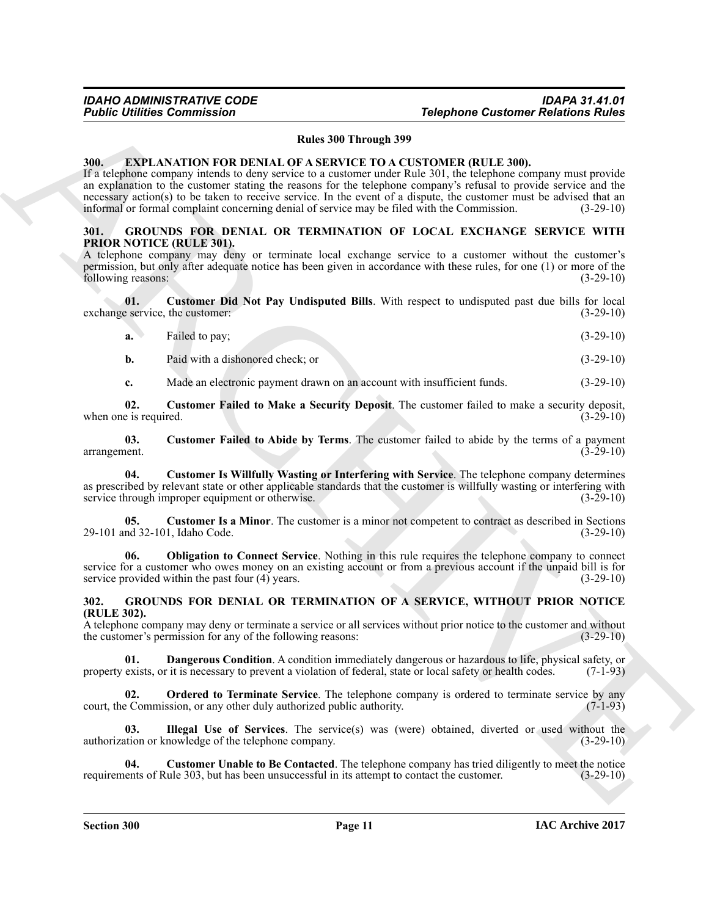#### **Rules 300 Through 399**

#### <span id="page-10-3"></span><span id="page-10-0"></span>**300. EXPLANATION FOR DENIAL OF A SERVICE TO A CUSTOMER (RULE 300).**

For the Communisties of the Communisties<br>
Material SP Haven 399 Haven 399 Haven 399 Haven 399 Haven 399 Haven 399 Haven 300 Haven 300 Haven 300 Haven 300 Haven 300 Haven 300 Haven 300 Haven 300 Haven 300 Haven 300 Haven 3 If a telephone company intends to deny service to a customer under Rule 301, the telephone company must provide an explanation to the customer stating the reasons for the telephone company's refusal to provide service and the necessary action(s) to be taken to receive service. In the event of a dispute, the customer must be advised that an informal or formal complaint concerning denial of service may be filed with the Commission. (3-29-10) informal or formal complaint concerning denial of service may be filed with the Commission.

#### <span id="page-10-9"></span><span id="page-10-1"></span>**301. GROUNDS FOR DENIAL OR TERMINATION OF LOCAL EXCHANGE SERVICE WITH PRIOR NOTICE (RULE 301).**

A telephone company may deny or terminate local exchange service to a customer without the customer's permission, but only after adequate notice has been given in accordance with these rules, for one (1) or more of the following reasons: (3-29-10) following reasons:

**01.** Customer Did Not Pay Undisputed Bills. With respect to undisputed past due bills for local eservice, the customer: (3-29-10) exchange service, the customer:

<span id="page-10-10"></span>

| <b>a.</b> | Failed to pay; |  | $(3-29-10)$ |
|-----------|----------------|--|-------------|
|-----------|----------------|--|-------------|

**b.** Paid with a dishonored check; or (3-29-10)

<span id="page-10-12"></span><span id="page-10-11"></span>**c.** Made an electronic payment drawn on an account with insufficient funds. (3-29-10)

**02. Customer Failed to Make a Security Deposit**. The customer failed to make a security deposit, when one is required.  $(3-29-10)$ 

**03.** Customer Failed to Abide by Terms. The customer failed to abide by the terms of a payment (3-29-10) arrangement.

<span id="page-10-14"></span>**04. Customer Is Willfully Wasting or Interfering with Service**. The telephone company determines as prescribed by relevant state or other applicable standards that the customer is willfully wasting or interfering with service through improper equipment or otherwise. (3-29-10) service through improper equipment or otherwise.

<span id="page-10-13"></span>**05.** Customer Is a Minor. The customer is a minor not competent to contract as described in Sections nd 32-101, Idaho Code. (3-29-10) 29-101 and 32-101, Idaho Code.

<span id="page-10-15"></span>**06. Obligation to Connect Service**. Nothing in this rule requires the telephone company to connect service for a customer who owes money on an existing account or from a previous account if the unpaid bill is for service provided within the past four (4) years. (3-29-10)

#### <span id="page-10-4"></span><span id="page-10-2"></span>**302. GROUNDS FOR DENIAL OR TERMINATION OF A SERVICE, WITHOUT PRIOR NOTICE (RULE 302).**

A telephone company may deny or terminate a service or all services without prior notice to the customer and without the customer's permission for any of the following reasons: (3-29-10) the customer's permission for any of the following reasons:

<span id="page-10-6"></span>**01. Dangerous Condition**. A condition immediately dangerous or hazardous to life, physical safety, or exists, or it is necessary to prevent a violation of federal, state or local safety or health codes. (7-1-93) property exists, or it is necessary to prevent a violation of federal, state or local safety or health codes.

<span id="page-10-8"></span>**02. Ordered to Terminate Service**. The telephone company is ordered to terminate service by any exercise commission, or any other duly authorized public authority. (7-1-93) court, the Commission, or any other duly authorized public authority.

<span id="page-10-7"></span>**03.** Illegal Use of Services. The service(s) was (were) obtained, diverted or used without the tation or knowledge of the telephone company. authorization or knowledge of the telephone company.

<span id="page-10-5"></span>**04.** Customer Unable to Be Contacted. The telephone company has tried diligently to meet the notice ents of Rule 303, but has been unsuccessful in its attempt to contact the customer. (3-29-10) requirements of Rule 303, but has been unsuccessful in its attempt to contact the customer.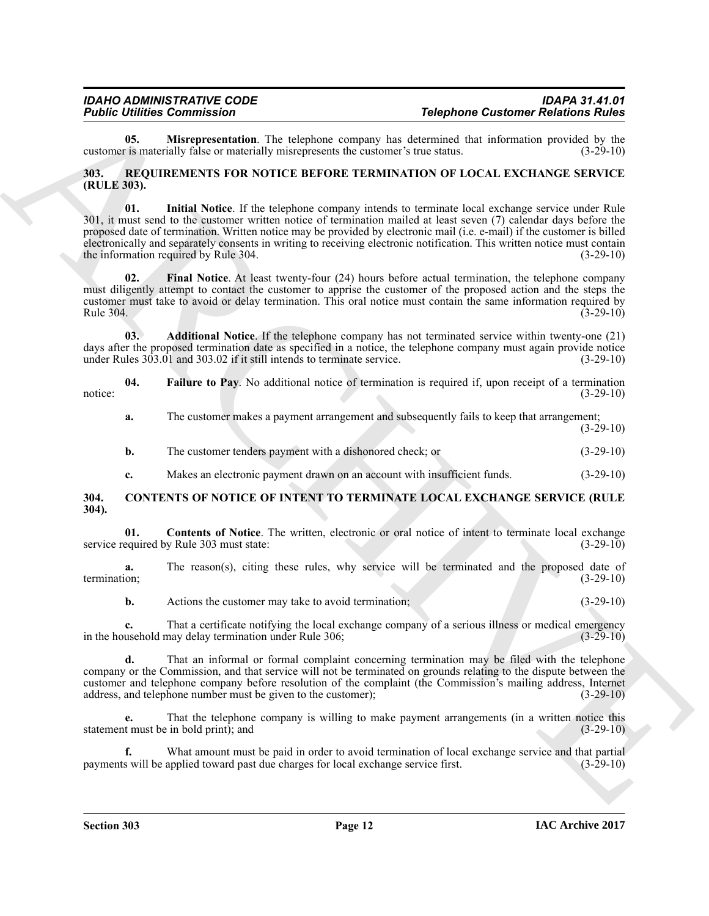<span id="page-11-4"></span>**05. Misrepresentation**. The telephone company has determined that information provided by the is materially false or materially misrepresents the customer's true status. (3-29-10) customer is materially false or materially misrepresents the customer's true status.

#### <span id="page-11-9"></span><span id="page-11-5"></span><span id="page-11-0"></span>**303. REQUIREMENTS FOR NOTICE BEFORE TERMINATION OF LOCAL EXCHANGE SERVICE (RULE 303).**

**Folding Commutes Computer Scholars Commute Commute Commute Commute Commute Commute Commute Commute Commute Commute Commute Commute Commute Commute Commute Commute Commute Commute Commute Commute Commute Commute Commute C 01. Initial Notice**. If the telephone company intends to terminate local exchange service under Rule 301, it must send to the customer written notice of termination mailed at least seven (7) calendar days before the proposed date of termination. Written notice may be provided by electronic mail (i.e. e-mail) if the customer is billed electronically and separately consents in writing to receiving electronic notification. This written notice must contain the information required by Rule 304. the information required by Rule 304.

<span id="page-11-8"></span>**02. Final Notice**. At least twenty-four (24) hours before actual termination, the telephone company must diligently attempt to contact the customer to apprise the customer of the proposed action and the steps the customer must take to avoid or delay termination. This oral notice must contain the same information required by Rule 304.  $(3-29-10)$ 

<span id="page-11-6"></span>**03. Additional Notice**. If the telephone company has not terminated service within twenty-one (21) days after the proposed termination date as specified in a notice, the telephone company must again provide notice<br>under Rules 303.01 and 303.02 if it still intends to terminate service. (3-29-10) under Rules  $303.01$  and  $303.02$  if it still intends to terminate service.

**04.** Failure to Pay. No additional notice of termination is required if, upon receipt of a termination (3-29-10) notice:  $(3-29-10)$ 

<span id="page-11-7"></span>**a.** The customer makes a payment arrangement and subsequently fails to keep that arrangement;  $(3-29-10)$ 

**b.** The customer tenders payment with a dishonored check; or (3-29-10)

<span id="page-11-3"></span><span id="page-11-2"></span>**c.** Makes an electronic payment drawn on an account with insufficient funds.  $(3-29-10)$ 

<span id="page-11-1"></span>**304. CONTENTS OF NOTICE OF INTENT TO TERMINATE LOCAL EXCHANGE SERVICE (RULE 304).**

**01. Contents of Notice**. The written, electronic or oral notice of intent to terminate local exchange equired by Rule 303 must state:  $(3-29-10)$ service required by Rule 303 must state:

**a.** The reason(s), citing these rules, why service will be terminated and the proposed date of termination; (3-29-10)

**b.** Actions the customer may take to avoid termination; (3-29-10)

**c.** That a certificate notifying the local exchange company of a serious illness or medical emergency usehold may delay termination under Rule 306; (3-29-10) in the household may delay termination under Rule 306;

**d.** That an informal or formal complaint concerning termination may be filed with the telephone company or the Commission, and that service will not be terminated on grounds relating to the dispute between the customer and telephone company before resolution of the complaint (the Commission's mailing address, Internet address, and telephone number must be given to the customer); (3-29-10) address, and telephone number must be given to the customer);

**e.** That the telephone company is willing to make payment arrangements (in a written notice this statement must be in bold print); and (3-29-10)

**f.** What amount must be paid in order to avoid termination of local exchange service and that partial s will be applied toward past due charges for local exchange service first. (3-29-10) payments will be applied toward past due charges for local exchange service first.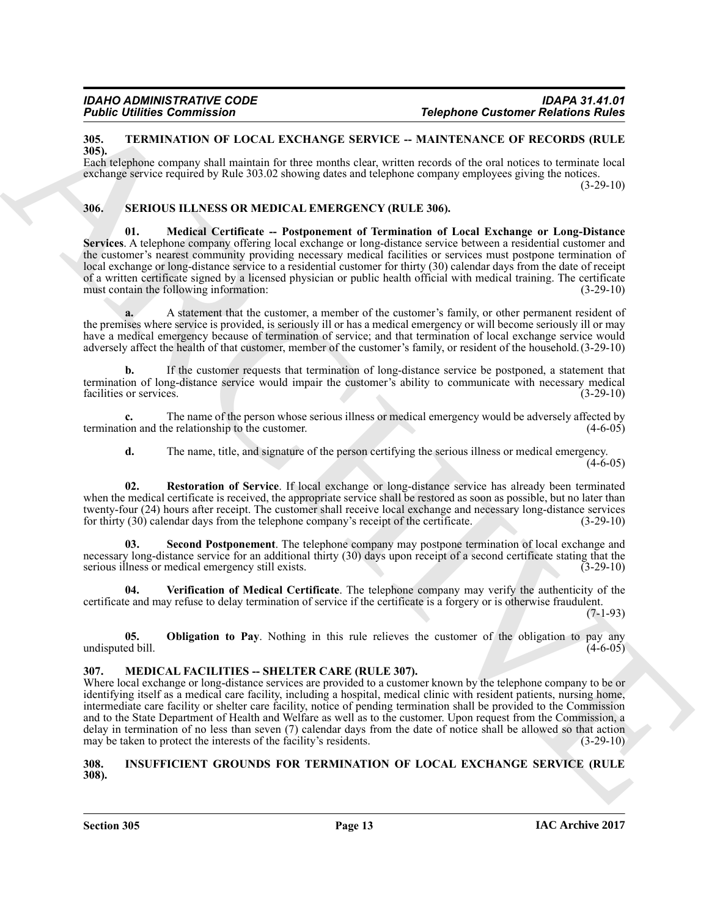#### <span id="page-12-12"></span><span id="page-12-0"></span>**305. TERMINATION OF LOCAL EXCHANGE SERVICE -- MAINTENANCE OF RECORDS (RULE 305).**

Each telephone company shall maintain for three months clear, written records of the oral notices to terminate local exchange service required by Rule 303.02 showing dates and telephone company employees giving the notices. (3-29-10)

### <span id="page-12-7"></span><span id="page-12-6"></span><span id="page-12-1"></span>**306. SERIOUS ILLNESS OR MEDICAL EMERGENCY (RULE 306).**

Follow United Commission<br>
318, The MMMANION OF LOCAL EXAMPAGE SERVICE - MAPHETANCE INTERNATION (BATTELATE THE STATE THE STATE THE STATE THE STATE OF THE STATE ORDER (RULLER STATE THE STATE OF THE STATE ORDER COMPANY (BET **01. Medical Certificate -- Postponement of Termination of Local Exchange or Long-Distance Services**. A telephone company offering local exchange or long-distance service between a residential customer and the customer's nearest community providing necessary medical facilities or services must postpone termination of local exchange or long-distance service to a residential customer for thirty (30) calendar days from the date of receipt of a written certificate signed by a licensed physician or public health official with medical training. The certificate must contain the following information: (3-29-10) must contain the following information:

**a.** A statement that the customer, a member of the customer's family, or other permanent resident of the premises where service is provided, is seriously ill or has a medical emergency or will become seriously ill or may have a medical emergency because of termination of service; and that termination of local exchange service would adversely affect the health of that customer, member of the customer's family, or resident of the household.(3-29-10)

**b.** If the customer requests that termination of long-distance service be postponed, a statement that termination of long-distance service would impair the customer's ability to communicate with necessary medical facilities or services. (3-29-10) facilities or services.

**c.** The name of the person whose serious illness or medical emergency would be adversely affected by on and the relationship to the customer. (4-6-05) termination and the relationship to the customer.

<span id="page-12-9"></span>**d.** The name, title, and signature of the person certifying the serious illness or medical emergency.

 $(4-6-05)$ 

**02. Restoration of Service**. If local exchange or long-distance service has already been terminated when the medical certificate is received, the appropriate service shall be restored as soon as possible, but no later than twenty-four (24) hours after receipt. The customer shall receive local exchange and necessary long-distance services<br>for thirty (30) calendar days from the telephone company's receipt of the certificate. (3-29-10) for thirty  $(30)$  calendar days from the telephone company's receipt of the certificate.

<span id="page-12-10"></span>**03. Second Postponement**. The telephone company may postpone termination of local exchange and necessary long-distance service for an additional thirty (30) days upon receipt of a second certificate stating that the serious illness or medical emergency still exists. (3-29-10) serious illness or medical emergency still exists.

<span id="page-12-11"></span>**04. Verification of Medical Certificate**. The telephone company may verify the authenticity of the certificate and may refuse to delay termination of service if the certificate is a forgery or is otherwise fraudulent.

(7-1-93)

<span id="page-12-8"></span>**05. Obligation to Pay**. Nothing in this rule relieves the customer of the obligation to pay any ed bill. (4-6-05) undisputed bill.

### <span id="page-12-5"></span><span id="page-12-2"></span>**307. MEDICAL FACILITIES -- SHELTER CARE (RULE 307).**

Where local exchange or long-distance services are provided to a customer known by the telephone company to be or identifying itself as a medical care facility, including a hospital, medical clinic with resident patients, nursing home, intermediate care facility or shelter care facility, notice of pending termination shall be provided to the Commission and to the State Department of Health and Welfare as well as to the customer. Upon request from the Commission, a delay in termination of no less than seven (7) calendar days from the date of notice shall be allowed so that action may be taken to protect the interests of the facility's residents. (3-29-10) may be taken to protect the interests of the facility's residents.

#### <span id="page-12-4"></span><span id="page-12-3"></span>**308. INSUFFICIENT GROUNDS FOR TERMINATION OF LOCAL EXCHANGE SERVICE (RULE 308).**

**Section 305 Page 13**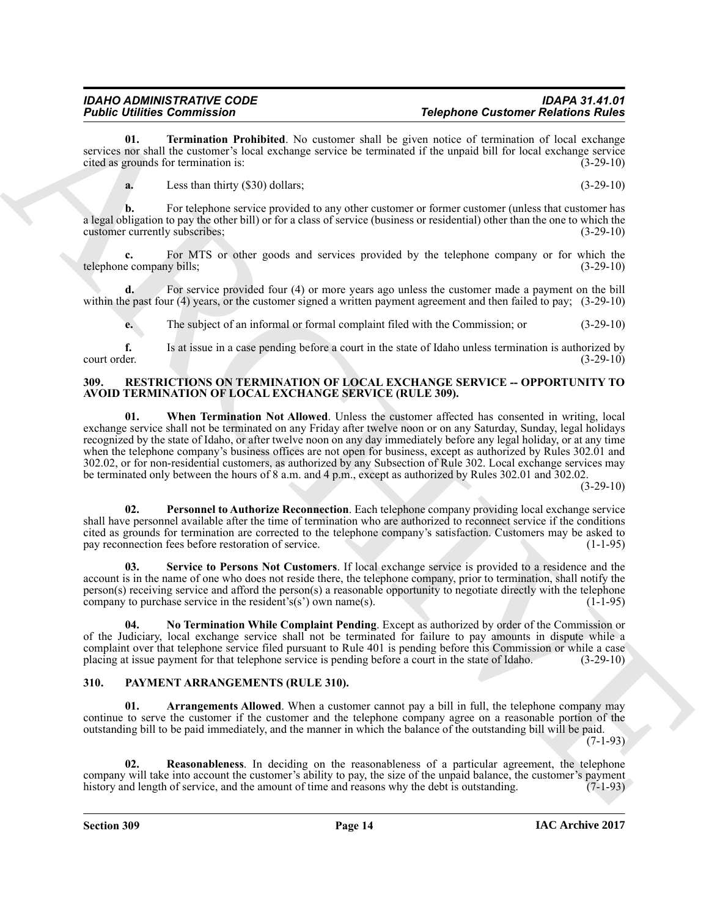**01. Termination Prohibited**. No customer shall be given notice of termination of local exchange services nor shall the customer's local exchange service be terminated if the unpaid bill for local exchange service<br>cited as grounds for termination is:<br>(3-29-10) cited as grounds for termination is:

<span id="page-13-2"></span>**a.** Less than thirty (\$30) dollars; (3-29-10)

**b.** For telephone service provided to any other customer or former customer (unless that customer has a legal obligation to pay the other bill) or for a class of service (business or residential) other than the one to which the customer currently subscribes: (3-29-10) customer currently subscribes;

**c.** For MTS or other goods and services provided by the telephone company or for which the e company bills; (3-29-10) telephone company bills;

**d.** For service provided four (4) or more years ago unless the customer made a payment on the bill within the past four (4) years, or the customer signed a written payment agreement and then failed to pay; (3-29-10)

**e.** The subject of an informal or formal complaint filed with the Commission; or (3-29-10)

**f.** Is at issue in a case pending before a court in the state of Idaho unless termination is authorized by court order.  $(3-29-10)$ court order. (3-29-10)

#### <span id="page-13-10"></span><span id="page-13-6"></span><span id="page-13-0"></span>**309. RESTRICTIONS ON TERMINATION OF LOCAL EXCHANGE SERVICE -- OPPORTUNITY TO AVOID TERMINATION OF LOCAL EXCHANGE SERVICE (RULE 309).**

Folshie Demonstration<br>
2013 - The main state of the system and the system and the system and the system of the system of the system of the system of the system of the system of the system of the system of the system of th **01. When Termination Not Allowed**. Unless the customer affected has consented in writing, local exchange service shall not be terminated on any Friday after twelve noon or on any Saturday, Sunday, legal holidays recognized by the state of Idaho, or after twelve noon on any day immediately before any legal holiday, or at any time when the telephone company's business offices are not open for business, except as authorized by Rules 302.01 and 302.02, or for non-residential customers, as authorized by any Subsection of Rule 302. Local exchange services may be terminated only between the hours of 8 a.m. and 4 p.m., except as authorized by Rules 302.01 and 302.02.

(3-29-10)

<span id="page-13-8"></span>**02. Personnel to Authorize Reconnection**. Each telephone company providing local exchange service shall have personnel available after the time of termination who are authorized to reconnect service if the conditions cited as grounds for termination are corrected to the telephone company's satisfaction. Customers may be asked to pay reconnection fees before restoration of service.

<span id="page-13-9"></span>**03. Service to Persons Not Customers**. If local exchange service is provided to a residence and the account is in the name of one who does not reside there, the telephone company, prior to termination, shall notify the person(s) receiving service and afford the person(s) a reasonable opportunity to negotiate directly with the telephone company to purchase service in the resident's(s') own name(s). company to purchase service in the resident's(s') own name(s).

<span id="page-13-7"></span>**04. No Termination While Complaint Pending**. Except as authorized by order of the Commission or of the Judiciary, local exchange service shall not be terminated for failure to pay amounts in dispute while a complaint over that telephone service filed pursuant to Rule 401 is pending before this Commission or while a case<br>placing at issue payment for that telephone service is pending before a court in the state of Idaho. (3-29placing at issue payment for that telephone service is pending before a court in the state of Idaho.

# <span id="page-13-3"></span><span id="page-13-1"></span>**310. PAYMENT ARRANGEMENTS (RULE 310).**

<span id="page-13-4"></span>Arrangements Allowed. When a customer cannot pay a bill in full, the telephone company may continue to serve the customer if the customer and the telephone company agree on a reasonable portion of the outstanding bill to be paid immediately, and the manner in which the balance of the outstanding bill will be paid.

 $(7-1-93)$ 

<span id="page-13-5"></span>**02. Reasonableness**. In deciding on the reasonableness of a particular agreement, the telephone company will take into account the customer's ability to pay, the size of the unpaid balance, the customer's payment<br>history and length of service, and the amount of time and reasons why the debt is outstanding. (7-1-93) history and length of service, and the amount of time and reasons why the debt is outstanding.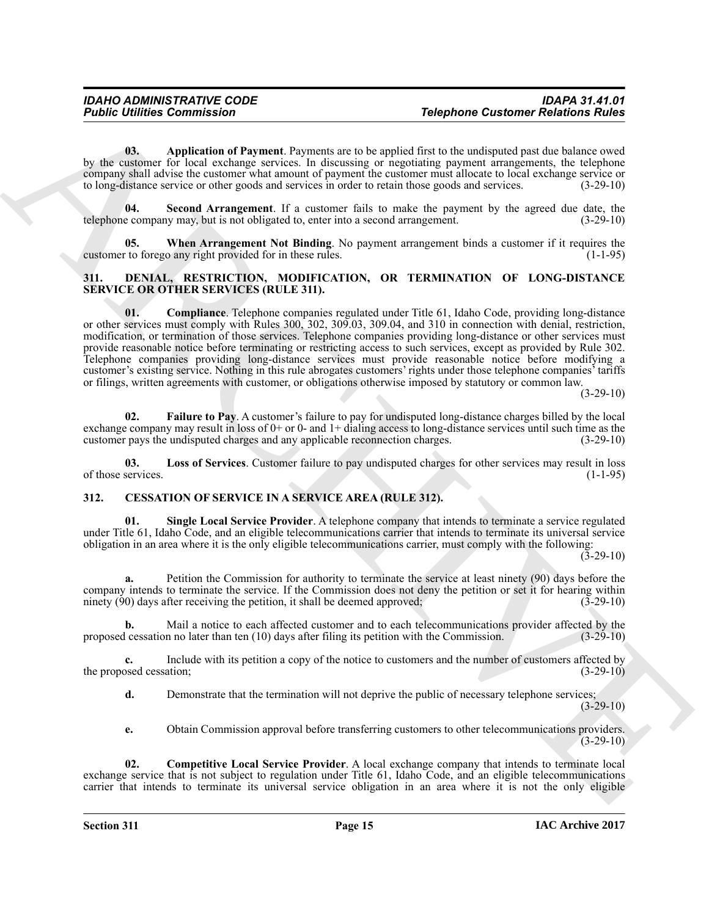<span id="page-14-9"></span>**03. Application of Payment**. Payments are to be applied first to the undisputed past due balance owed by the customer for local exchange services. In discussing or negotiating payment arrangements, the telephone company shall advise the customer what amount of payment the customer must allocate to local exchange service or to long-distance service or other goods and services in order to retain those goods and services. (3-29-10)

<span id="page-14-10"></span>**04. Second Arrangement**. If a customer fails to make the payment by the agreed due date, the telephone company may, but is not obligated to, enter into a second arrangement. (3-29-10)

<span id="page-14-11"></span>**05. When Arrangement Not Binding**. No payment arrangement binds a customer if it requires the to forego any right provided for in these rules. (1-1-95) customer to forego any right provided for in these rules.

#### <span id="page-14-6"></span><span id="page-14-5"></span><span id="page-14-0"></span>**311. DENIAL, RESTRICTION, MODIFICATION, OR TERMINATION OF LONG-DISTANCE SERVICE OR OTHER SERVICES (RULE 311).**

**Folshie United Commission**<br> **The photon Cast one Relations and the photon Cast one Relations and the splent of the splent of the splent of the splent of the splent of the splent of the splent of the splent of the splent 01. Compliance**. Telephone companies regulated under Title 61, Idaho Code, providing long-distance or other services must comply with Rules 300, 302, 309.03, 309.04, and 310 in connection with denial, restriction, modification, or termination of those services. Telephone companies providing long-distance or other services must provide reasonable notice before terminating or restricting access to such services, except as provided by Rule 302. Telephone companies providing long-distance services must provide reasonable notice before modifying a customer's existing service. Nothing in this rule abrogates customers' rights under those telephone companies' tariffs or filings, written agreements with customer, or obligations otherwise imposed by statutory or common law.

(3-29-10)

<span id="page-14-7"></span>**02. Failure to Pay**. A customer's failure to pay for undisputed long-distance charges billed by the local exchange company may result in loss of  $0+$  or  $0-$  and  $1+$  dialing access to long-distance services until such time as the customer pays the undisputed charges and any applicable reconnection charges.  $(3-29-10)$ customer pays the undisputed charges and any applicable reconnection charges.

<span id="page-14-8"></span>**03.** Loss of Services. Customer failure to pay undisputed charges for other services may result in loss services. (1-1-95) of those services.

# <span id="page-14-2"></span><span id="page-14-1"></span>**312. CESSATION OF SERVICE IN A SERVICE AREA (RULE 312).**

<span id="page-14-4"></span>**01. Single Local Service Provider**. A telephone company that intends to terminate a service regulated under Title 61, Idaho Code, and an eligible telecommunications carrier that intends to terminate its universal service obligation in an area where it is the only eligible telecommunications carrier, must comply with the following:

 $(3-29-10)$ 

**a.** Petition the Commission for authority to terminate the service at least ninety (90) days before the company intends to terminate the service. If the Commission does not deny the petition or set it for hearing within ninety (90) days after receiving the petition, it shall be deemed approved: (3-29-10) ninety  $(90)$  days after receiving the petition, it shall be deemed approved;

**b.** Mail a notice to each affected customer and to each telecommunications provider affected by the lessation no later than ten (10) days after filing its petition with the Commission. (3-29-10) proposed cessation no later than ten (10) days after filing its petition with the Commission.

**c.** Include with its petition a copy of the notice to customers and the number of customers affected by osed cessation; (3-29-10) the proposed cessation;

**d.** Demonstrate that the termination will not deprive the public of necessary telephone services;  $(3-29-10)$ 

<span id="page-14-3"></span>**e.** Obtain Commission approval before transferring customers to other telecommunications providers.  $(3-29-10)$ 

**02. Competitive Local Service Provider**. A local exchange company that intends to terminate local exchange service that is not subject to regulation under Title 61, Idaho Code, and an eligible telecommunications carrier that intends to terminate its universal service obligation in an area where it is not the only eligible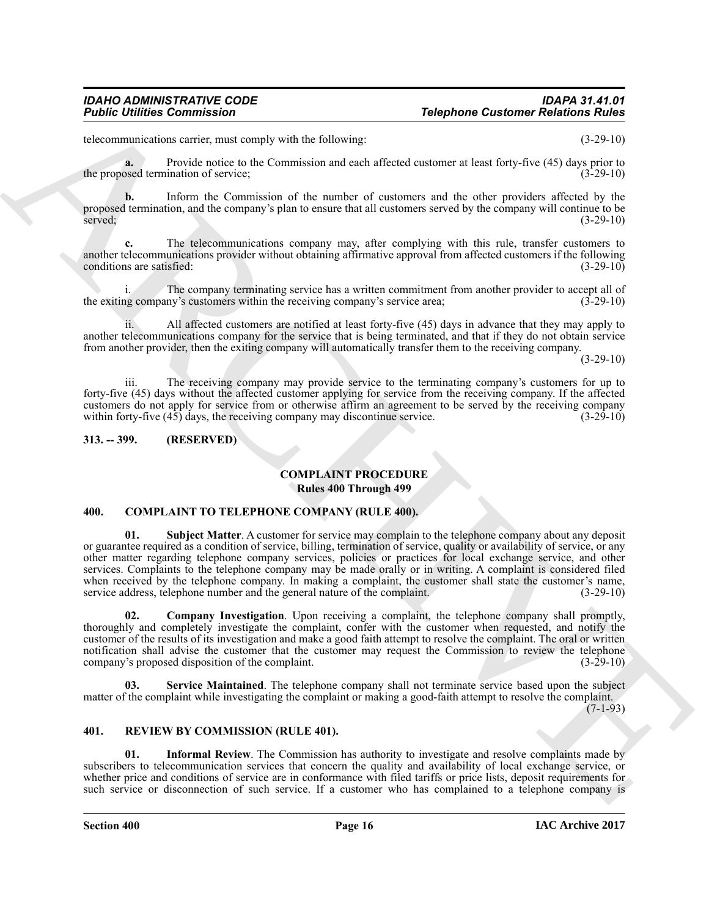telecommunications carrier, must comply with the following: (3-29-10)

**a.** Provide notice to the Commission and each affected customer at least forty-five (45) days prior to the proposed termination of service; (3-29-10)

**b.** Inform the Commission of the number of customers and the other providers affected by the proposed termination, and the company's plan to ensure that all customers served by the company will continue to be served;  $(3-29-10)$ 

**c.** The telecommunications company may, after complying with this rule, transfer customers to another telecommunications provider without obtaining affirmative approval from affected customers if the following conditions are satisfied: (3-29-10) conditions are satisfied:

The company terminating service has a written commitment from another provider to accept all of the exiting company's customers within the receiving company's service area; (3-29-10)

ii. All affected customers are notified at least forty-five (45) days in advance that they may apply to another telecommunications company for the service that is being terminated, and that if they do not obtain service from another provider, then the exiting company will automatically transfer them to the receiving company.

(3-29-10)

iii. The receiving company may provide service to the terminating company's customers for up to forty-five (45) days without the affected customer applying for service from the receiving company. If the affected customers do not apply for service from or otherwise affirm an agreement to be served by the receiving company within forty-five  $(45)$  days, the receiving company may discontinue service.  $(3-29-10)$ 

#### <span id="page-15-0"></span>**313. -- 399. (RESERVED)**

### <span id="page-15-3"></span>**COMPLAINT PROCEDURE Rules 400 Through 499**

#### <span id="page-15-7"></span><span id="page-15-4"></span><span id="page-15-1"></span>**400. COMPLAINT TO TELEPHONE COMPANY (RULE 400).**

**Folshie Uniters Commission**<br>
Actions (a) the reason of the state of the state of the state of the state of the state of the state of the state of the state of the state of the state of the state of the state of the state **Subject Matter**. A customer for service may complain to the telephone company about any deposit or guarantee required as a condition of service, billing, termination of service, quality or availability of service, or any other matter regarding telephone company services, policies or practices for local exchange service, and other services. Complaints to the telephone company may be made orally or in writing. A complaint is considered filed when received by the telephone company. In making a complaint, the customer shall state the customer's name, service address, telephone number and the general nature of the complaint. (3-29-10) service address, telephone number and the general nature of the complaint.

<span id="page-15-5"></span>**02. Company Investigation**. Upon receiving a complaint, the telephone company shall promptly, thoroughly and completely investigate the complaint, confer with the customer when requested, and notify the customer of the results of its investigation and make a good faith attempt to resolve the complaint. The oral or written notification shall advise the customer that the customer may request the Commission to review the telephone company's proposed disposition of the complaint. (3-29-10) company's proposed disposition of the complaint.

<span id="page-15-6"></span>**03. Service Maintained**. The telephone company shall not terminate service based upon the subject matter of the complaint while investigating the complaint or making a good-faith attempt to resolve the complaint.

 $(7-1-93)$ 

### <span id="page-15-8"></span><span id="page-15-2"></span>**401. REVIEW BY COMMISSION (RULE 401).**

<span id="page-15-9"></span>**01. Informal Review**. The Commission has authority to investigate and resolve complaints made by subscribers to telecommunication services that concern the quality and availability of local exchange service, or whether price and conditions of service are in conformance with filed tariffs or price lists, deposit requirements for such service or disconnection of such service. If a customer who has complained to a telephone company is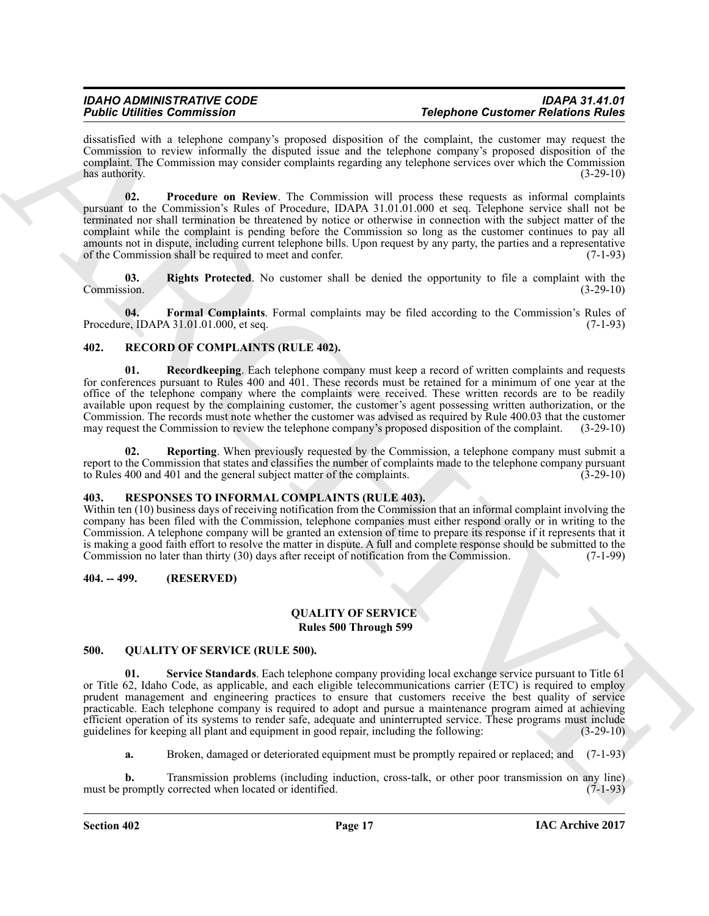dissatisfied with a telephone company's proposed disposition of the complaint, the customer may request the Commission to review informally the disputed issue and the telephone company's proposed disposition of the complaint. The Commission may consider complaints regarding any telephone services over which the Commission<br>(3-29-10)<br>(3-29-10) has authority. (3-29-10)

<span id="page-16-11"></span>**02. Procedure on Review**. The Commission will process these requests as informal complaints pursuant to the Commission's Rules of Procedure, IDAPA 31.01.01.000 et seq. Telephone service shall not be terminated nor shall termination be threatened by notice or otherwise in connection with the subject matter of the complaint while the complaint is pending before the Commission so long as the customer continues to pay all amounts not in dispute, including current telephone bills. Upon request by any party, the parties and a representative of the Commission shall be required to meet and confer. (7-1-93) of the Commission shall be required to meet and confer.

<span id="page-16-12"></span>**03.** Rights Protected. No customer shall be denied the opportunity to file a complaint with the Commission.  $(3-29-10)$ Commission. (3-29-10)

<span id="page-16-10"></span>**04. Formal Complaints**. Formal complaints may be filed according to the Commission's Rules of e. IDAPA 31.01.01.000. et seq. Procedure, IDAPA  $31.01.01.000$ , et seq.

### <span id="page-16-6"></span><span id="page-16-0"></span>**402. RECORD OF COMPLAINTS (RULE 402).**

<span id="page-16-7"></span>**01. Recordkeeping**. Each telephone company must keep a record of written complaints and requests for conferences pursuant to Rules 400 and 401. These records must be retained for a minimum of one year at the office of the telephone company where the complaints were received. These written records are to be readily available upon request by the complaining customer, the customer's agent possessing written authorization, or the Commission. The records must note whether the customer was advised as required by Rule 400.03 that the customer may request the Commission to review the telephone company's proposed disposition of the complaint. (3-29-10) may request the Commission to review the telephone company's proposed disposition of the complaint.

<span id="page-16-8"></span>**Reporting**. When previously requested by the Commission, a telephone company must submit a report to the Commission that states and classifies the number of complaints made to the telephone company pursuant to Rules 400 and 401 and the general subject matter of the complaints. (3-29-10) to Rules 400 and 401 and the general subject matter of the complaints.

#### <span id="page-16-9"></span><span id="page-16-1"></span>**403. RESPONSES TO INFORMAL COMPLAINTS (RULE 403).**

Within ten (10) business days of receiving notification from the Commission that an informal complaint involving the company has been filed with the Commission, telephone companies must either respond orally or in writing to the Commission. A telephone company will be granted an extension of time to prepare its response if it represents that it is making a good faith effort to resolve the matter in dispute. A full and complete response should be submitted to the Commission no later than thirty (30) days after receipt of notification from the Commission. (7-1-99) Commission no later than thirty (30) days after receipt of notification from the Commission.

#### <span id="page-16-2"></span>**404. -- 499. (RESERVED)**

#### **QUALITY OF SERVICE Rules 500 Through 599**

#### <span id="page-16-5"></span><span id="page-16-4"></span><span id="page-16-3"></span>**500. QUALITY OF SERVICE (RULE 500).**

For the complete the complete three controls in the probable complete three controls in the complete three controls in the complete three controls in the complete three controls in the complete three controls in the compl **01. Service Standards**. Each telephone company providing local exchange service pursuant to Title 61 or Title 62, Idaho Code, as applicable, and each eligible telecommunications carrier (ETC) is required to employ prudent management and engineering practices to ensure that customers receive the best quality of service practicable. Each telephone company is required to adopt and pursue a maintenance program aimed at achieving efficient operation of its systems to render safe, adequate and uninterrupted service. These programs must include guidelines for keeping all plant and equipment in good repair, including the following: (3-29-10)

**a.** Broken, damaged or deteriorated equipment must be promptly repaired or replaced; and (7-1-93)

**b.** Transmission problems (including induction, cross-talk, or other poor transmission on any line) oromptly corrected when located or identified. (7-1-93) must be promptly corrected when located or identified.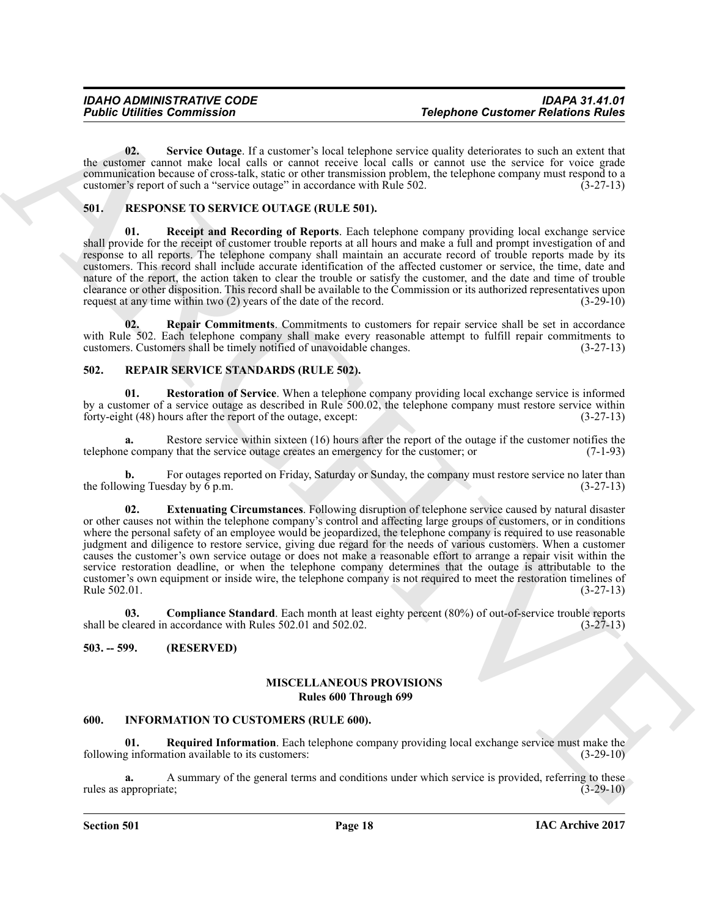<span id="page-17-6"></span>**02. Service Outage**. If a customer's local telephone service quality deteriorates to such an extent that the customer cannot make local calls or cannot receive local calls or cannot use the service for voice grade communication because of cross-talk, static or other transmission problem, the telephone company must respond to a customer's report of such a "service outage" in accordance with Rule 502. (3-27-13) customer's report of such a "service outage" in accordance with Rule 502.

### <span id="page-17-11"></span><span id="page-17-0"></span>**501. RESPONSE TO SERVICE OUTAGE (RULE 501).**

<span id="page-17-12"></span>**01. Receipt and Recording of Reports**. Each telephone company providing local exchange service shall provide for the receipt of customer trouble reports at all hours and make a full and prompt investigation of and response to all reports. The telephone company shall maintain an accurate record of trouble reports made by its customers. This record shall include accurate identification of the affected customer or service, the time, date and nature of the report, the action taken to clear the trouble or satisfy the customer, and the date and time of trouble clearance or other disposition. This record shall be available to the Commission or its authorized representatives upon request at any time within two (2) years of the date of the record. (3-29-10)

<span id="page-17-13"></span>**02. Repair Commitments**. Commitments to customers for repair service shall be set in accordance with Rule 502. Each telephone company shall make every reasonable attempt to fulfill repair commitments to customers. Customers shall be timely notified of unavoidable changes. (3-27-13)

### <span id="page-17-7"></span><span id="page-17-1"></span>**502. REPAIR SERVICE STANDARDS (RULE 502).**

<span id="page-17-10"></span>**01. Restoration of Service**. When a telephone company providing local exchange service is informed by a customer of a service outage as described in Rule 500.02, the telephone company must restore service within forty-eight (48) hours after the report of the outage, except: (3-27-13)

**a.** Restore service within sixteen (16) hours after the report of the outage if the customer notifies the e company that the service outage creates an emergency for the customer; or  $(7-1-93)$ telephone company that the service outage creates an emergency for the customer; or

<span id="page-17-9"></span>**b.** For outages reported on Friday, Saturday or Sunday, the company must restore service no later than wing Tuesday by 6 p.m.  $(3-27-13)$ the following Tuesday by  $\bar{6}$  p.m.

For the communities of the state of the state of the state of the state of the state of the state of the state of the state of the state of the state of the state of the state of the state of the state of the state of the **02. Extenuating Circumstances**. Following disruption of telephone service caused by natural disaster or other causes not within the telephone company's control and affecting large groups of customers, or in conditions where the personal safety of an employee would be jeopardized, the telephone company is required to use reasonable judgment and diligence to restore service, giving due regard for the needs of various customers. When a customer causes the customer's own service outage or does not make a reasonable effort to arrange a repair visit within the service restoration deadline, or when the telephone company determines that the outage is attributable to the customer's own equipment or inside wire, the telephone company is not required to meet the restoration timelines of Rule 502.01. Rule  $502.01.$  (3-27-13)

<span id="page-17-8"></span>**03.** Compliance Standard. Each month at least eighty percent (80%) of out-of-service trouble reports shall be cleared in accordance with Rules 502.01 and 502.02. (3-27-13)

# <span id="page-17-2"></span>**503. -- 599. (RESERVED)**

### **MISCELLANEOUS PROVISIONS Rules 600 Through 699**

### <span id="page-17-4"></span><span id="page-17-3"></span>**600. INFORMATION TO CUSTOMERS (RULE 600).**

<span id="page-17-5"></span>**01.** Required Information. Each telephone company providing local exchange service must make the g information available to its customers: following information available to its customers:

A summary of the general terms and conditions under which service is provided, referring to these te: rules as appropriate;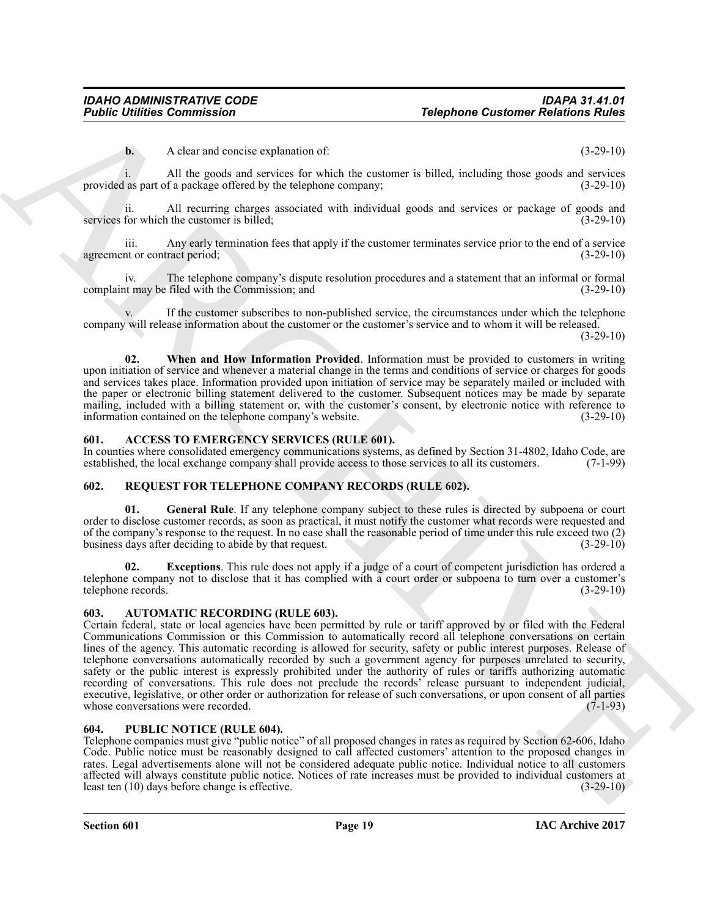**b.** A clear and concise explanation of: (3-29-10)

i. All the goods and services for which the customer is billed, including those goods and services as part of a package offered by the telephone company; (3-29-10) provided as part of a package offered by the telephone company;

ii. All recurring charges associated with individual goods and services or package of goods and for which the customer is billed: (3-29-10) services for which the customer is billed;

iii. Any early termination fees that apply if the customer terminates service prior to the end of a service agreement or contract period;

iv. The telephone company's dispute resolution procedures and a statement that an informal or formal<br>t may be filed with the Commission: and (3-29-10) complaint may be filed with the Commission; and

If the customer subscribes to non-published service, the circumstances under which the telephone company will release information about the customer or the customer's service and to whom it will be released.

 $(3-29-10)$ 

<span id="page-18-6"></span>**02. When and How Information Provided**. Information must be provided to customers in writing upon initiation of service and whenever a material change in the terms and conditions of service or charges for goods and services takes place. Information provided upon initiation of service may be separately mailed or included with the paper or electronic billing statement delivered to the customer. Subsequent notices may be made by separate mailing, included with a billing statement or, with the customer's consent, by electronic notice with reference to information contained on the telephone company's website. (3-29-10)

#### <span id="page-18-4"></span><span id="page-18-0"></span>**601. ACCESS TO EMERGENCY SERVICES (RULE 601).**

In counties where consolidated emergency communications systems, as defined by Section 31-4802, Idaho Code, are established, the local exchange company shall provide access to those services to all its customers. (7-1-99) established, the local exchange company shall provide access to those services to all its customers.

#### <span id="page-18-8"></span><span id="page-18-1"></span>**602. REQUEST FOR TELEPHONE COMPANY RECORDS (RULE 602).**

<span id="page-18-10"></span>**01.** General Rule. If any telephone company subject to these rules is directed by subpoena or court order to disclose customer records, as soon as practical, it must notify the customer what records were requested and of the company's response to the request. In no case shall the reasonable period of time under this rule exceed two (2) business days after deciding to abide by that request.

<span id="page-18-9"></span>**02. Exceptions**. This rule does not apply if a judge of a court of competent jurisdiction has ordered a telephone company not to disclose that it has complied with a court order or subpoena to turn over a customer's telephone records. (3-29-10) telephone records.

#### <span id="page-18-5"></span><span id="page-18-2"></span>**603. AUTOMATIC RECORDING (RULE 603).**

**Folshie United Communisties**<br>
A diameterization and context the relation and the communistic of the communistic of the communistic of the communistic of the communistic of the communistic of the communistic of the commun Certain federal, state or local agencies have been permitted by rule or tariff approved by or filed with the Federal Communications Commission or this Commission to automatically record all telephone conversations on certain lines of the agency. This automatic recording is allowed for security, safety or public interest purposes. Release of telephone conversations automatically recorded by such a government agency for purposes unrelated to security, safety or the public interest is expressly prohibited under the authority of rules or tariffs authorizing automatic recording of conversations. This rule does not preclude the records' release pursuant to independent judicial, executive, legislative, or other order or authorization for release of such conversations, or upon consent of all parties whose conversations were recorded. (7-1-93) whose conversations were recorded.

#### <span id="page-18-7"></span><span id="page-18-3"></span>**604. PUBLIC NOTICE (RULE 604).**

Telephone companies must give "public notice" of all proposed changes in rates as required by Section 62-606, Idaho Code. Public notice must be reasonably designed to call affected customers' attention to the proposed changes in rates. Legal advertisements alone will not be considered adequate public notice. Individual notice to all customers affected will always constitute public notice. Notices of rate increases must be provided to individual customers at least ten (10) days before change is effective. (3-29-10) least ten  $(10)$  days before change is effective.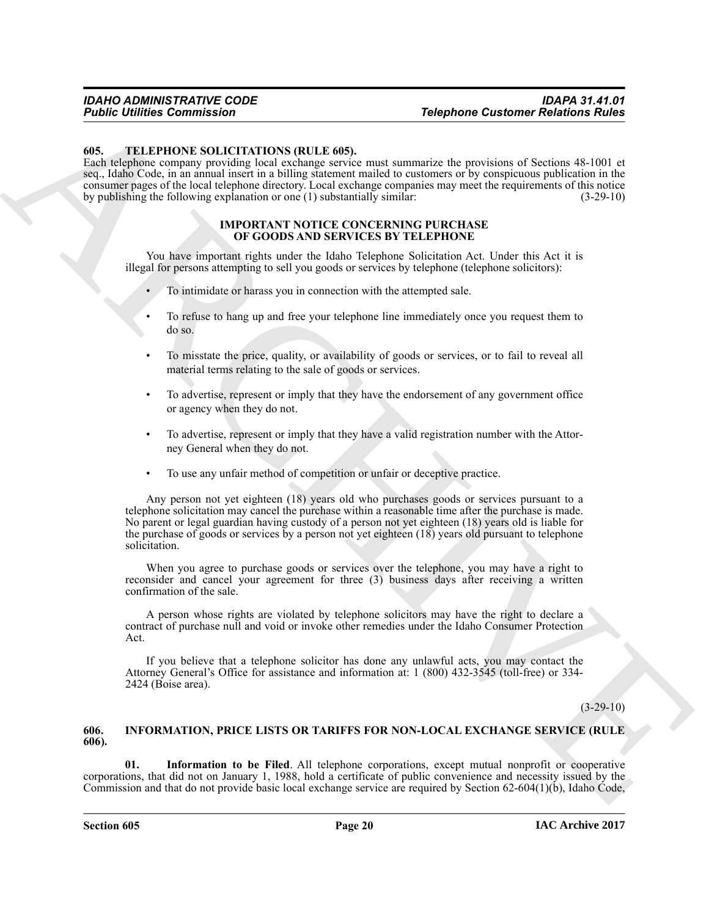#### <span id="page-19-4"></span><span id="page-19-0"></span>**605. TELEPHONE SOLICITATIONS (RULE 605).**

Each telephone company providing local exchange service must summarize the provisions of Sections 48-1001 et seq., Idaho Code, in an annual insert in a billing statement mailed to customers or by conspicuous publication in the consumer pages of the local telephone directory. Local exchange companies may meet the requirements of this notice by publishing the following explanation or one (1) substantially similar: (3-29-10)

#### **IMPORTANT NOTICE CONCERNING PURCHASE OF GOODS AND SERVICES BY TELEPHONE**

You have important rights under the Idaho Telephone Solicitation Act. Under this Act it is illegal for persons attempting to sell you goods or services by telephone (telephone solicitors):

- To intimidate or harass you in connection with the attempted sale.
- To refuse to hang up and free your telephone line immediately once you request them to do so.
- To misstate the price, quality, or availability of goods or services, or to fail to reveal all material terms relating to the sale of goods or services.
- To advertise, represent or imply that they have the endorsement of any government office or agency when they do not.
- To advertise, represent or imply that they have a valid registration number with the Attorney General when they do not.
- To use any unfair method of competition or unfair or deceptive practice.

For the Commute Communication<br>
16 (a). The principal communication of the Commute Commute Commute Commute Commute Commute Commute Commute Commute Commute Commute Commute Commute Commute Commute Commute Commute Commute Com Any person not yet eighteen (18) years old who purchases goods or services pursuant to a telephone solicitation may cancel the purchase within a reasonable time after the purchase is made. No parent or legal guardian having custody of a person not yet eighteen (18) years old is liable for the purchase of goods or services by a person not yet eighteen (18) years old pursuant to telephone solicitation.

When you agree to purchase goods or services over the telephone, you may have a right to reconsider and cancel your agreement for three (3) business days after receiving a written confirmation of the sale.

A person whose rights are violated by telephone solicitors may have the right to declare a contract of purchase null and void or invoke other remedies under the Idaho Consumer Protection Act.

If you believe that a telephone solicitor has done any unlawful acts, you may contact the Attorney General's Office for assistance and information at: 1 (800) 432-3545 (toll-free) or 334- 2424 (Boise area).

(3-29-10)

#### <span id="page-19-2"></span><span id="page-19-1"></span>**606. INFORMATION, PRICE LISTS OR TARIFFS FOR NON-LOCAL EXCHANGE SERVICE (RULE 606).**

<span id="page-19-3"></span>**01. Information to be Filed**. All telephone corporations, except mutual nonprofit or cooperative corporations, that did not on January 1, 1988, hold a certificate of public convenience and necessity issued by the Commission and that do not provide basic local exchange service are required by Section 62-604(1)(b), Idaho Code,

**Section 605 Page 20**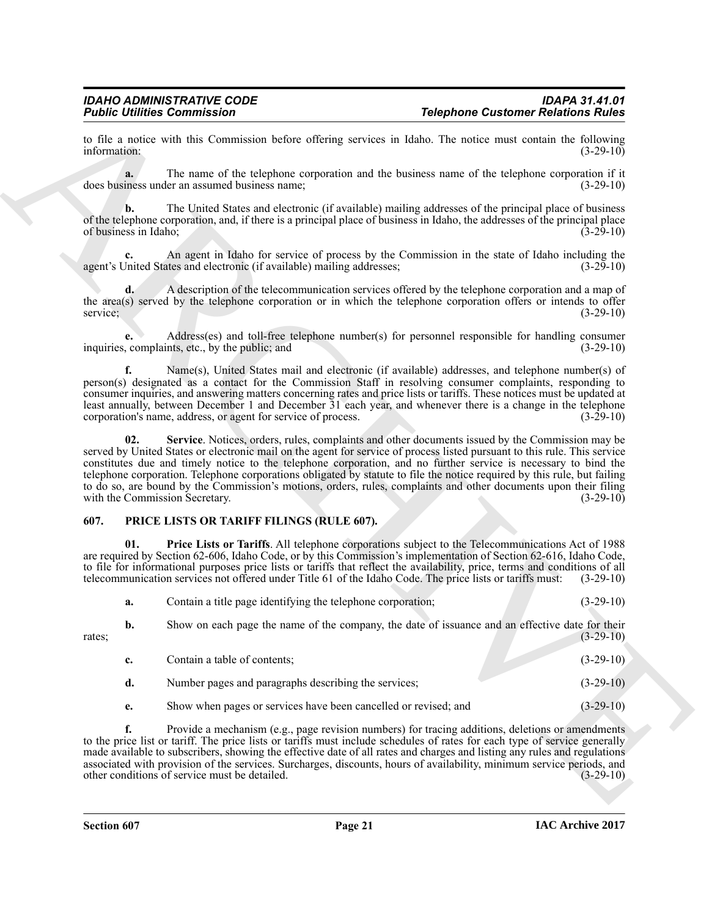to file a notice with this Commission before offering services in Idaho. The notice must contain the following information: (3-29-10) information: (3-29-10)

**a.** The name of the telephone corporation and the business name of the telephone corporation if it does business under an assumed business name; (3-29-10)

**b.** The United States and electronic (if available) mailing addresses of the principal place of business of the telephone corporation, and, if there is a principal place of business in Idaho, the addresses of the principal place of business in Idaho; (3-29-10)

**c.** An agent in Idaho for service of process by the Commission in the state of Idaho including the United States and electronic (if available) mailing addresses; (3-29-10) agent's United States and electronic (if available) mailing addresses;

**d.** A description of the telecommunication services offered by the telephone corporation and a map of the area(s) served by the telephone corporation or in which the telephone corporation offers or intends to offer<br>service; (3-29-10) service; (3-29-10)

**e.** Address(es) and toll-free telephone number(s) for personnel responsible for handling consumer inquiries, complaints, etc., by the public; and (3-29-10)

<span id="page-20-1"></span>**f.** Name(s), United States mail and electronic (if available) addresses, and telephone number(s) of person(s) designated as a contact for the Commission Staff in resolving consumer complaints, responding to consumer inquiries, and answering matters concerning rates and price lists or tariffs. These notices must be updated at least annually, between December 1 and December 31 each year, and whenever there is a change in the telephone corporation's name, address, or agent for service of process. (3-29-10)

Follow Entropy the University of the University of the University of the University of the University of the University of the University of the University of the University of the University of the University of the Univ **02. Service**. Notices, orders, rules, complaints and other documents issued by the Commission may be served by United States or electronic mail on the agent for service of process listed pursuant to this rule. This service constitutes due and timely notice to the telephone corporation, and no further service is necessary to bind the telephone corporation. Telephone corporations obligated by statute to file the notice required by this rule, but failing to do so, are bound by the Commission's motions, orders, rules, complaints and other documents upon their filing with the Commission Secretary. (3-29-10) with the Commission Secretary.

### <span id="page-20-2"></span><span id="page-20-0"></span>**607. PRICE LISTS OR TARIFF FILINGS (RULE 607).**

**01. Price Lists or Tariffs**. All telephone corporations subject to the Telecommunications Act of 1988 are required by Section 62-606, Idaho Code, or by this Commission's implementation of Section 62-616, Idaho Code, to file for informational purposes price lists or tariffs that reflect the availability, price, terms and conditions of all telecommunication services not offered under Title 61 of the Idaho Code. The price lists or tariffs must: (3-29-10)

<span id="page-20-3"></span>

| а. | Contain a title page identifying the telephone corporation; |  | $(3-29-10)$ |
|----|-------------------------------------------------------------|--|-------------|
|----|-------------------------------------------------------------|--|-------------|

**b.** Show on each page the name of the company, the date of issuance and an effective date for their (3-29-10)  $r_{\text{at}}$  (3-29-10)  $(3-29-10)$ 

| $\mathbf{c}$ . | Contain a table of contents:                                    | $(3-29-10)$ |
|----------------|-----------------------------------------------------------------|-------------|
| d.             | Number pages and paragraphs describing the services;            | $(3-29-10)$ |
| e.             | Show when pages or services have been cancelled or revised; and | $(3-29-10)$ |

**f.** Provide a mechanism (e.g., page revision numbers) for tracing additions, deletions or amendments to the price list or tariff. The price lists or tariffs must include schedules of rates for each type of service generally made available to subscribers, showing the effective date of all rates and charges and listing any rules and regulations associated with provision of the services. Surcharges, discounts, hours of availability, minimum service periods, and other conditions of service must be detailed. (3-29-10) other conditions of service must be detailed.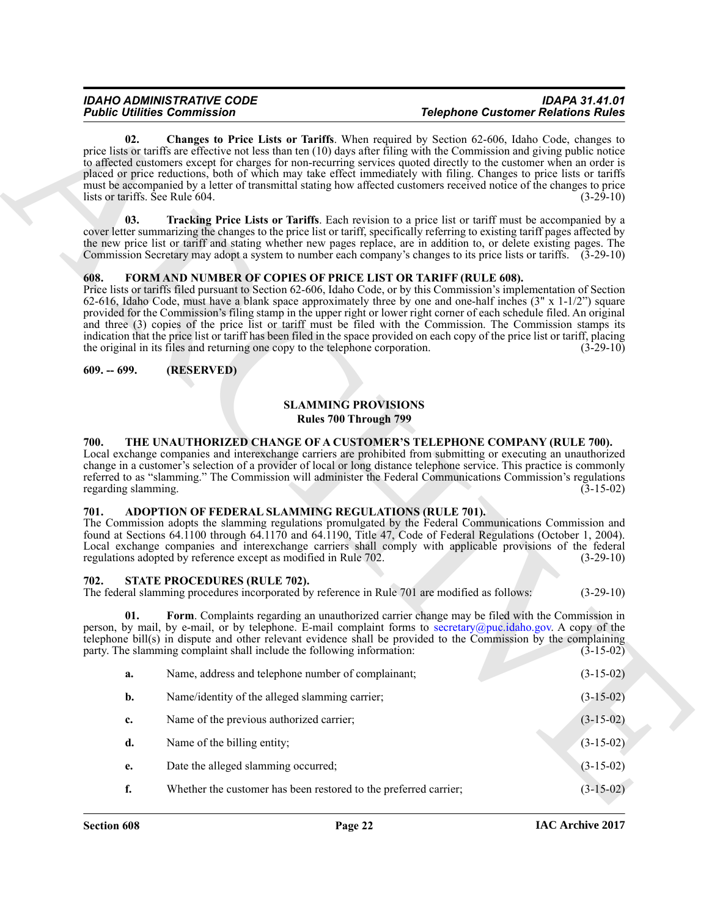### <span id="page-21-8"></span><span id="page-21-6"></span><span id="page-21-0"></span>**608. FORM AND NUMBER OF COPIES OF PRICE LIST OR TARIFF (RULE 608).**

# **SLAMMING PROVISIONS Rules 700 Through 799**

### <span id="page-21-11"></span><span id="page-21-2"></span><span id="page-21-1"></span>**700. THE UNAUTHORIZED CHANGE OF A CUSTOMER'S TELEPHONE COMPANY (RULE 700).**

### <span id="page-21-5"></span><span id="page-21-3"></span>**701. ADOPTION OF FEDERAL SLAMMING REGULATIONS (RULE 701).**

#### <span id="page-21-10"></span><span id="page-21-9"></span><span id="page-21-4"></span>**702. STATE PROCEDURES (RULE 702).**

<span id="page-21-7"></span>

|                                        | <b>Public Utilities Commission</b>                                                                                                              | <b>Telephone Customer Relations Rules</b>                                                                                                                                                                                                                                                                                                                                                                                                                                                                                                                                                                                         |             |
|----------------------------------------|-------------------------------------------------------------------------------------------------------------------------------------------------|-----------------------------------------------------------------------------------------------------------------------------------------------------------------------------------------------------------------------------------------------------------------------------------------------------------------------------------------------------------------------------------------------------------------------------------------------------------------------------------------------------------------------------------------------------------------------------------------------------------------------------------|-------------|
| 02.<br>lists or tariffs. See Rule 604. |                                                                                                                                                 | <b>Changes to Price Lists or Tariffs.</b> When required by Section 62-606, Idaho Code, changes to<br>price lists or tariffs are effective not less than ten (10) days after filing with the Commission and giving public notice<br>to affected customers except for charges for non-recurring services quoted directly to the customer when an order is<br>placed or price reductions, both of which may take effect immediately with filing. Changes to price lists or tariffs<br>must be accompanied by a letter of transmittal stating how affected customers received notice of the changes to price                          | $(3-29-10)$ |
| 03.                                    |                                                                                                                                                 | Tracking Price Lists or Tariffs. Each revision to a price list or tariff must be accompanied by a<br>cover letter summarizing the changes to the price list or tariff, specifically referring to existing tariff pages affected by<br>the new price list or tariff and stating whether new pages replace, are in addition to, or delete existing pages. The<br>Commission Secretary may adopt a system to number each company's changes to its price lists or tariffs. (3-29-10)                                                                                                                                                  |             |
| 608.                                   | FORM AND NUMBER OF COPIES OF PRICE LIST OR TARIFF (RULE 608).<br>the original in its files and returning one copy to the telephone corporation. | Price lists or tariffs filed pursuant to Section 62-606, Idaho Code, or by this Commission's implementation of Section<br>62-616, Idaho Code, must have a blank space approximately three by one and one-half inches $(3'' \times 1-1/2'')$ square<br>provided for the Commission's filing stamp in the upper right or lower right corner of each schedule filed. An original<br>and three (3) copies of the price list or tariff must be filed with the Commission. The Commission stamps its<br>indication that the price list or tariff has been filed in the space provided on each copy of the price list or tariff, placing | $(3-29-10)$ |
| $609. - 699.$                          | (RESERVED)                                                                                                                                      |                                                                                                                                                                                                                                                                                                                                                                                                                                                                                                                                                                                                                                   |             |
|                                        |                                                                                                                                                 |                                                                                                                                                                                                                                                                                                                                                                                                                                                                                                                                                                                                                                   |             |
|                                        |                                                                                                                                                 | <b>SLAMMING PROVISIONS</b><br><b>Rules 700 Through 799</b>                                                                                                                                                                                                                                                                                                                                                                                                                                                                                                                                                                        |             |
| 700.<br>regarding slamming.            |                                                                                                                                                 | THE UNAUTHORIZED CHANGE OF A CUSTOMER'S TELEPHONE COMPANY (RULE 700).<br>Local exchange companies and interexchange carriers are prohibited from submitting or executing an unauthorized<br>change in a customer's selection of a provider of local or long distance telephone service. This practice is commonly<br>referred to as "slamming." The Commission will administer the Federal Communications Commission's regulations                                                                                                                                                                                                | $(3-15-02)$ |
| 701.                                   | ADOPTION OF FEDERAL SLAMMING REGULATIONS (RULE 701).<br>regulations adopted by reference except as modified in Rule 702.                        | The Commission adopts the slamming regulations promulgated by the Federal Communications Commission and<br>found at Sections 64.1100 through 64.1170 and 64.1190, Title 47, Code of Federal Regulations (October 1, 2004).<br>Local exchange companies and interexchange carriers shall comply with applicable provisions of the federal                                                                                                                                                                                                                                                                                          | $(3-29-10)$ |
| 702.                                   | STATE PROCEDURES (RULE 702).<br>The federal slamming procedures incorporated by reference in Rule 701 are modified as follows:                  |                                                                                                                                                                                                                                                                                                                                                                                                                                                                                                                                                                                                                                   | $(3-29-10)$ |
| 01.                                    | party. The slamming complaint shall include the following information:                                                                          | Form. Complaints regarding an unauthorized carrier change may be filed with the Commission in<br>person, by mail, by e-mail, or by telephone. E-mail complaint forms to secretary@puc.idaho.gov. A copy of the<br>telephone bill(s) in dispute and other relevant evidence shall be provided to the Commission by the complaining                                                                                                                                                                                                                                                                                                 | $(3-15-02)$ |
| a.                                     | Name, address and telephone number of complainant;                                                                                              |                                                                                                                                                                                                                                                                                                                                                                                                                                                                                                                                                                                                                                   | $(3-15-02)$ |
|                                        |                                                                                                                                                 |                                                                                                                                                                                                                                                                                                                                                                                                                                                                                                                                                                                                                                   | $(3-15-02)$ |
| b.                                     | Name/identity of the alleged slamming carrier;                                                                                                  |                                                                                                                                                                                                                                                                                                                                                                                                                                                                                                                                                                                                                                   |             |
| c.                                     | Name of the previous authorized carrier;                                                                                                        |                                                                                                                                                                                                                                                                                                                                                                                                                                                                                                                                                                                                                                   | $(3-15-02)$ |
| d.                                     | Name of the billing entity;                                                                                                                     |                                                                                                                                                                                                                                                                                                                                                                                                                                                                                                                                                                                                                                   | $(3-15-02)$ |
| e.                                     | Date the alleged slamming occurred;                                                                                                             |                                                                                                                                                                                                                                                                                                                                                                                                                                                                                                                                                                                                                                   | $(3-15-02)$ |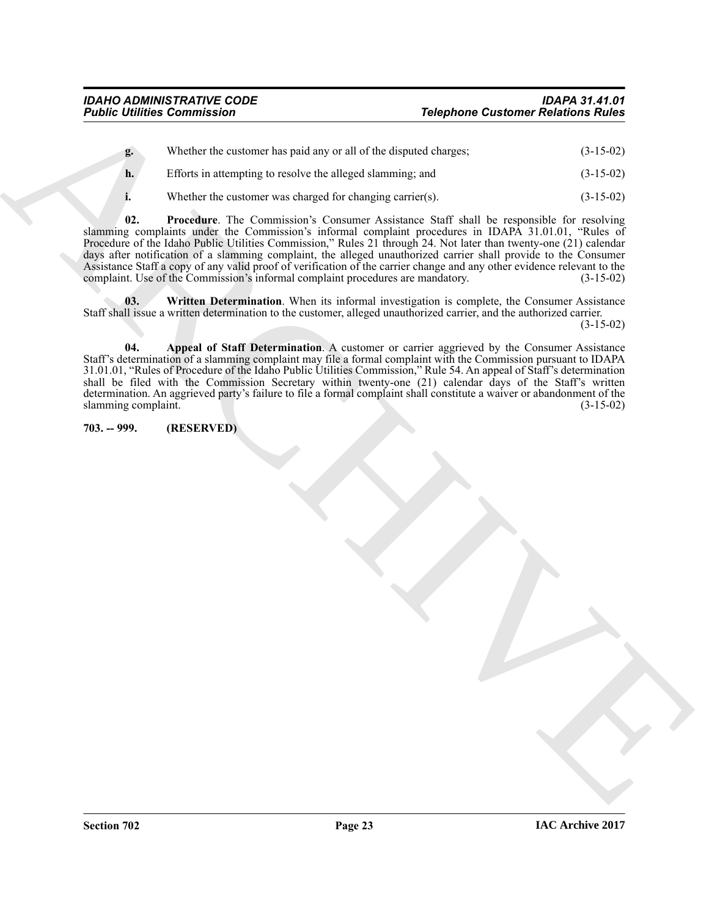| g. | Whether the customer has paid any or all of the disputed charges; | $(3-15-02)$ |
|----|-------------------------------------------------------------------|-------------|
| h. | Efforts in attempting to resolve the alleged slamming; and        | $(3-15-02)$ |

<span id="page-22-2"></span>**i.** Whether the customer was charged for changing carrier(s). (3-15-02)

**Folding Commission**<br> **The photon Castleme Folding of Earth (Except Commission Castleme Folding)**<br> **Except Commission** of the Company of the Commission and Castleme and<br> **Except Commission** of the company of the Commissio **02. Procedure**. The Commission's Consumer Assistance Staff shall be responsible for resolving slamming complaints under the Commission's informal complaint procedures in IDAPA 31.01.01, "Rules of Procedure of the Idaho Public Utilities Commission," Rules 21 through 24. Not later than twenty-one (21) calendar days after notification of a slamming complaint, the alleged unauthorized carrier shall provide to the Consumer Assistance Staff a copy of any valid proof of verification of the carrier change and any other evidence relevant to the complaint. Use of the Commission's informal complaint procedures are mandatory. (3-15-02) complaint. Use of the Commission's informal complaint procedures are mandatory.

<span id="page-22-3"></span>**03.** Written Determination. When its informal investigation is complete, the Consumer Assistance Staff shall issue a written determination to the customer, alleged unauthorized carrier, and the authorized carrier.

(3-15-02)

<span id="page-22-1"></span>**04. Appeal of Staff Determination**. A customer or carrier aggrieved by the Consumer Assistance Staff's determination of a slamming complaint may file a formal complaint with the Commission pursuant to IDAPA 31.01.01, "Rules of Procedure of the Idaho Public Utilities Commission," Rule 54. An appeal of Staff's determination shall be filed with the Commission Secretary within twenty-one (21) calendar days of the Staff's written determination. An aggrieved party's failure to file a formal complaint shall constitute a waiver or abandonment of the slamming complaint. (3-15-02) slamming complaint.

<span id="page-22-0"></span>**703. -- 999. (RESERVED)**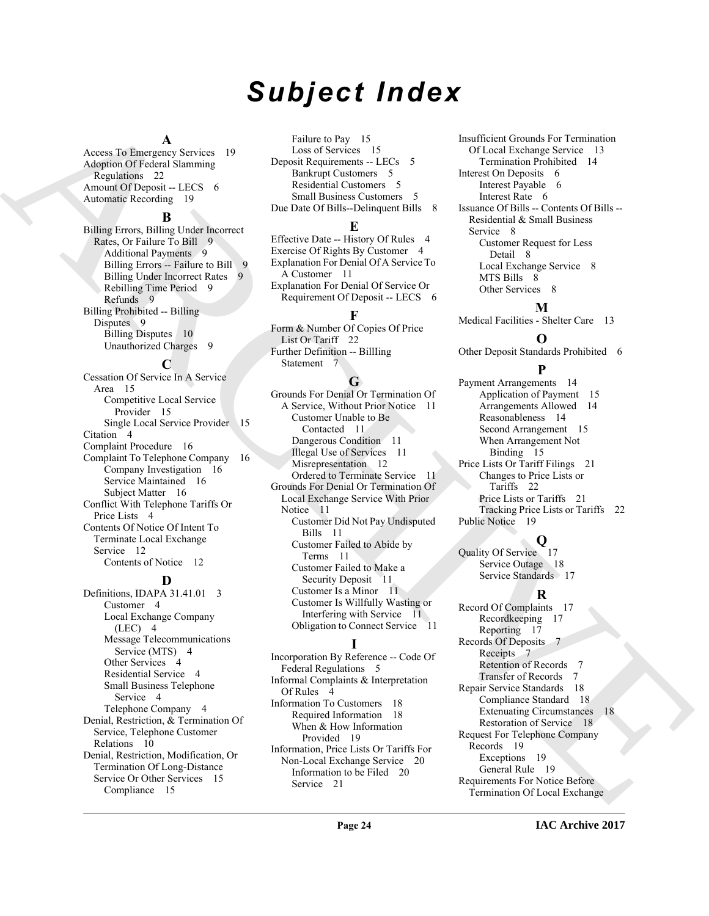# *Subject Index*

### **A**

Access To Emergency Services 19 Adoption Of Federal Slamming Regulations 22 Amount Of Deposit -- LECS 6 Automatic Recording 19

#### **B**

Billing Errors, Billing Under Incorrect Rates, Or Failure To Bill 9 Additional Payments 9 Billing Errors -- Failure to Bill 9 Billing Under Incorrect Rates 9 Rebilling Time Period 9 Refunds 9 Billing Prohibited -- Billing Disputes 9 Billing Disputes 10 Unauthorized Charges 9

**C**

Cessation Of Service In A Service Area 15 Competitive Local Service Provider 15 Single Local Service Provider 15 Citation 4 Complaint Procedure 16 Complaint To Telephone Company 16 Company Investigation 16 Service Maintained 16 Subject Matter 16 Conflict With Telephone Tariffs Or Price Lists 4 Contents Of Notice Of Intent To Terminate Local Exchange Service 12 Contents of Notice 12

### **D**

Definitions, IDAPA 31.41.01 3 Customer 4 Local Exchange Company  $(LEC)$  4 Message Telecommunications Service (MTS) 4 Other Services 4 Residential Service 4 Small Business Telephone Service 4 Telephone Company 4 Denial, Restriction, & Termination Of Service, Telephone Customer Relations 10 Denial, Restriction, Modification, Or Termination Of Long-Distance Service Or Other Services 15 Compliance 15

Failure to Pay 15 Loss of Services 15 Deposit Requirements -- LECs 5 Bankrupt Customers 5 Residential Customers 5 Small Business Customers 5 Due Date Of Bills--Delinquent Bills 8

#### **E**

Effective Date -- History Of Rules 4 Exercise Of Rights By Customer 4 Explanation For Denial Of A Service To A Customer 11 Explanation For Denial Of Service Or Requirement Of Deposit -- LECS 6

# **F**

Form & Number Of Copies Of Price List Or Tariff 22 Further Definition -- BillIing Statement 7

### **G**

[A](#page-21-5)nsari [C](#page-21-6)olombia Semantin in the constraints in the constraints of the constraints of the constraints of the constraints of the constraints of the constraints of the constraints of the constraints of the constraints of the Grounds For Denial Or Termination Of A Service, Without Prior Notice 11 Customer Unable to Be Contacted 11 Dangerous Condition 11 Illegal Use of Services 11 Misrepresentation 12 Ordered to Terminate Service 11 Grounds For Denial Or Termination Of Local Exchange Service With Prior Notice 11 Customer Did Not Pay Undisputed Bills 11 Customer Failed to Abide by Terms 11 Customer Failed to Make a Security Deposit 11 Customer Is a Minor 11 Customer Is Willfully Wasting or Interfering with Service 11 Obligation to Connect Service 11

# **I**

Incorporation By Reference -- Code Of Federal Regulations 5 Informal Complaints & Interpretation Of Rules 4 Information To Customers 18 Required Information 18 When & How Information Provided 19 Information, Price Lists Or Tariffs For Non-Local Exchange Service 20 Information to be Filed 20 Service 21

Insufficient Grounds For Termination Of Local Exchange Service 13 Termination Prohibited 14 Interest On Deposits 6 Interest Payable 6 Interest Rate 6 Issuance Of Bills -- Contents Of Bills -- Residential & Small Business Service 8 Customer Request for Less Detail 8 Local Exchange Service 8 MTS Bills 8 Other Services 8

# **M**

Medical Facilities - Shelter Care 13

#### **O**

Other Deposit Standards Prohibited 6

# **P**

Payment Arrangements 14 Application of Payment 15 Arrangements Allowed 14 Reasonableness 14 Second Arrangement 15 When Arrangement Not Binding 15 Price Lists Or Tariff Filings 21 Changes to Price Lists or Tariffs 22 Price Lists or Tariffs 21 Tracking Price Lists or Tariffs 22 Public Notice 19

# **Q**

Quality Of Service 17 Service Outage 18 Service Standards 17

### **R**

Record Of Complaints 17 Recordkeeping 17 Reporting 17 Records Of Deposits 7 Receipts 7 Retention of Records 7 Transfer of Records 7 Repair Service Standards 18 Compliance Standard 18 Extenuating Circumstances 18 Restoration of Service 18 Request For Telephone Company Records 19 Exceptions 19 General Rule 19 Requirements For Notice Before Termination Of Local Exchange